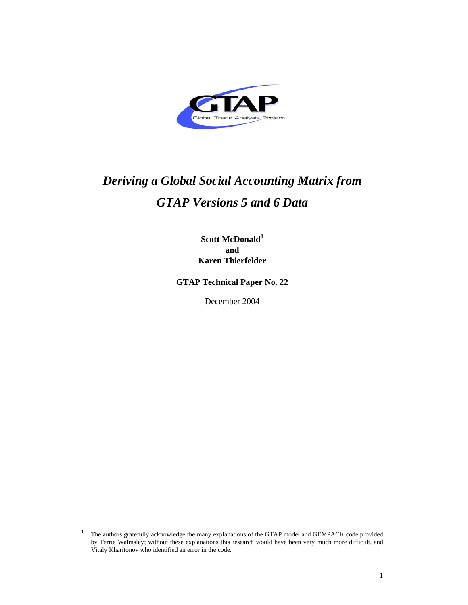

# *Deriving a Global Social Accounting Matrix from GTAP Versions 5 and 6 Data*

**Scott McDonald<sup>1</sup> and Karen Thierfelder** 

**GTAP Technical Paper No. 22**

December 2004

 $\overline{a}$ 

<sup>&</sup>lt;sup>1</sup> The authors gratefully acknowledge the many explanations of the GTAP model and GEMPACK code provided by Terrie Walmsley; without these explanations this research would have been very much more difficult, and Vitaly Kharitonov who identified an error in the code.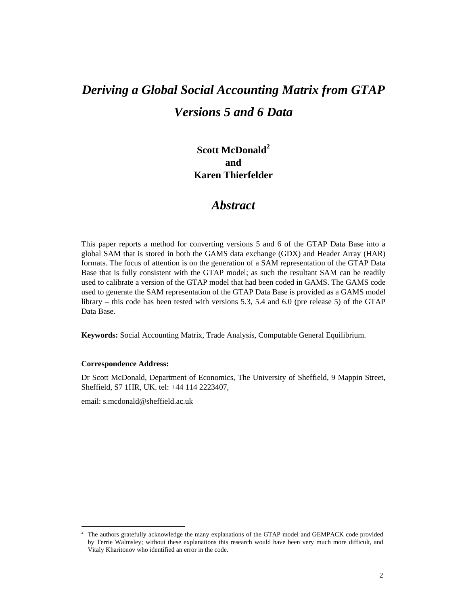# *Deriving a Global Social Accounting Matrix from GTAP Versions 5 and 6 Data*

**Scott McDonald<sup>2</sup> and Karen Thierfelder** 

# *Abstract*

This paper reports a method for converting versions 5 and 6 of the GTAP Data Base into a global SAM that is stored in both the GAMS data exchange (GDX) and Header Array (HAR) formats. The focus of attention is on the generation of a SAM representation of the GTAP Data Base that is fully consistent with the GTAP model; as such the resultant SAM can be readily used to calibrate a version of the GTAP model that had been coded in GAMS. The GAMS code used to generate the SAM representation of the GTAP Data Base is provided as a GAMS model library – this code has been tested with versions 5.3, 5.4 and 6.0 (pre release 5) of the GTAP Data Base.

**Keywords:** Social Accounting Matrix, Trade Analysis, Computable General Equilibrium.

## **Correspondence Address:**

Dr Scott McDonald, Department of Economics, The University of Sheffield, 9 Mappin Street, Sheffield, S7 1HR, UK. tel: +44 114 2223407,

email: s.mcdonald@sheffield.ac.uk

 $\frac{1}{2}$  The authors gratefully acknowledge the many explanations of the GTAP model and GEMPACK code provided by Terrie Walmsley; without these explanations this research would have been very much more difficult, and Vitaly Kharitonov who identified an error in the code.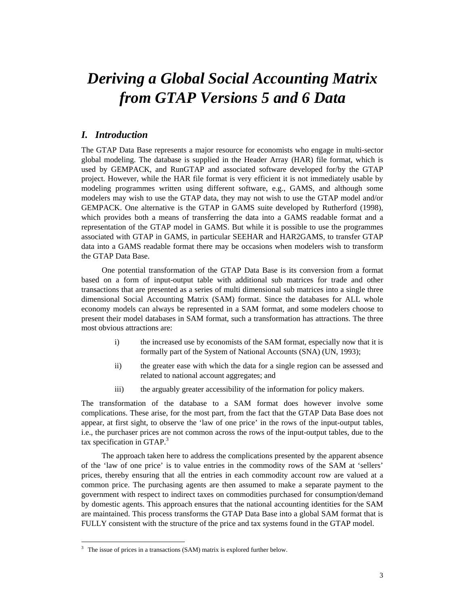# *Deriving a Global Social Accounting Matrix from GTAP Versions 5 and 6 Data*

# *I. Introduction*

The GTAP Data Base represents a major resource for economists who engage in multi-sector global modeling. The database is supplied in the Header Array (HAR) file format, which is used by GEMPACK, and RunGTAP and associated software developed for/by the GTAP project. However, while the HAR file format is very efficient it is not immediately usable by modeling programmes written using different software, e.g., GAMS, and although some modelers may wish to use the GTAP data, they may not wish to use the GTAP model and/or GEMPACK. One alternative is the GTAP in GAMS suite developed by Rutherford (1998), which provides both a means of transferring the data into a GAMS readable format and a representation of the GTAP model in GAMS. But while it is possible to use the programmes associated with GTAP in GAMS, in particular SEEHAR and HAR2GAMS, to transfer GTAP data into a GAMS readable format there may be occasions when modelers wish to transform the GTAP Data Base.

One potential transformation of the GTAP Data Base is its conversion from a format based on a form of input-output table with additional sub matrices for trade and other transactions that are presented as a series of multi dimensional sub matrices into a single three dimensional Social Accounting Matrix (SAM) format. Since the databases for ALL whole economy models can always be represented in a SAM format, and some modelers choose to present their model databases in SAM format, such a transformation has attractions. The three most obvious attractions are:

- i) the increased use by economists of the SAM format, especially now that it is formally part of the System of National Accounts (SNA) (UN, 1993);
- ii) the greater ease with which the data for a single region can be assessed and related to national account aggregates; and
- iii) the arguably greater accessibility of the information for policy makers.

The transformation of the database to a SAM format does however involve some complications. These arise, for the most part, from the fact that the GTAP Data Base does not appear, at first sight, to observe the 'law of one price' in the rows of the input-output tables, i.e., the purchaser prices are not common across the rows of the input-output tables, due to the tax specification in GTAP. $3$ 

The approach taken here to address the complications presented by the apparent absence of the 'law of one price' is to value entries in the commodity rows of the SAM at 'sellers' prices, thereby ensuring that all the entries in each commodity account row are valued at a common price. The purchasing agents are then assumed to make a separate payment to the government with respect to indirect taxes on commodities purchased for consumption/demand by domestic agents. This approach ensures that the national accounting identities for the SAM are maintained. This process transforms the GTAP Data Base into a global SAM format that is FULLY consistent with the structure of the price and tax systems found in the GTAP model.

 $\overline{a}$ 

 $3$  The issue of prices in a transactions (SAM) matrix is explored further below.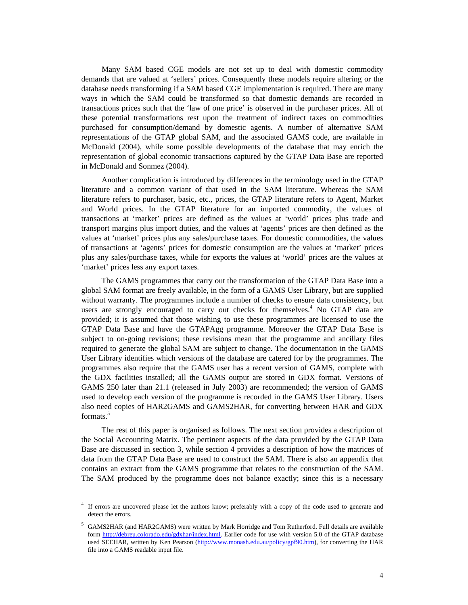Many SAM based CGE models are not set up to deal with domestic commodity demands that are valued at 'sellers' prices. Consequently these models require altering or the database needs transforming if a SAM based CGE implementation is required. There are many ways in which the SAM could be transformed so that domestic demands are recorded in transactions prices such that the 'law of one price' is observed in the purchaser prices. All of these potential transformations rest upon the treatment of indirect taxes on commodities purchased for consumption/demand by domestic agents. A number of alternative SAM representations of the GTAP global SAM, and the associated GAMS code, are available in McDonald (2004), while some possible developments of the database that may enrich the representation of global economic transactions captured by the GTAP Data Base are reported in McDonald and Sonmez (2004).

Another complication is introduced by differences in the terminology used in the GTAP literature and a common variant of that used in the SAM literature. Whereas the SAM literature refers to purchaser, basic, etc., prices, the GTAP literature refers to Agent, Market and World prices. In the GTAP literature for an imported commodity, the values of transactions at 'market' prices are defined as the values at 'world' prices plus trade and transport margins plus import duties, and the values at 'agents' prices are then defined as the values at 'market' prices plus any sales/purchase taxes. For domestic commodities, the values of transactions at 'agents' prices for domestic consumption are the values at 'market' prices plus any sales/purchase taxes, while for exports the values at 'world' prices are the values at 'market' prices less any export taxes.

The GAMS programmes that carry out the transformation of the GTAP Data Base into a global SAM format are freely available, in the form of a GAMS User Library, but are supplied without warranty. The programmes include a number of checks to ensure data consistency, but users are strongly encouraged to carry out checks for themselves.<sup>4</sup> No GTAP data are provided; it is assumed that those wishing to use these programmes are licensed to use the GTAP Data Base and have the GTAPAgg programme. Moreover the GTAP Data Base is subject to on-going revisions; these revisions mean that the programme and ancillary files required to generate the global SAM are subject to change. The documentation in the GAMS User Library identifies which versions of the database are catered for by the programmes. The programmes also require that the GAMS user has a recent version of GAMS, complete with the GDX facilities installed; all the GAMS output are stored in GDX format. Versions of GAMS 250 later than 21.1 (released in July 2003) are recommended; the version of GAMS used to develop each version of the programme is recorded in the GAMS User Library. Users also need copies of HAR2GAMS and GAMS2HAR, for converting between HAR and GDX formats.5

The rest of this paper is organised as follows. The next section provides a description of the Social Accounting Matrix. The pertinent aspects of the data provided by the GTAP Data Base are discussed in section 3, while section 4 provides a description of how the matrices of data from the GTAP Data Base are used to construct the SAM. There is also an appendix that contains an extract from the GAMS programme that relates to the construction of the SAM. The SAM produced by the programme does not balance exactly; since this is a necessary

 $\overline{a}$ 

<sup>4</sup> If errors are uncovered please let the authors know; preferably with a copy of the code used to generate and detect the errors.

 $<sup>5</sup>$  GAMS2HAR (and HAR2GAMS) were written by Mark Horridge and Tom Rutherford. Full details are available</sup> form http://debreu.colorado.edu/gdxhar/index.html. Earlier code for use with version 5.0 of the GTAP database used SEEHAR, written by Ken Pearson (http://www.monash.edu.au/policy/gpf90.htm), for converting the HAR file into a GAMS readable input file.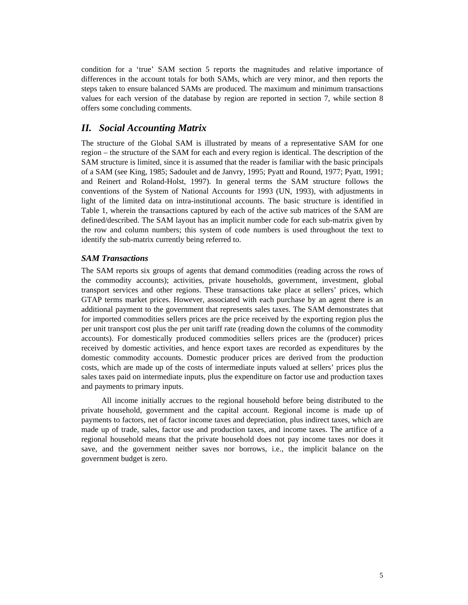condition for a 'true' SAM section 5 reports the magnitudes and relative importance of differences in the account totals for both SAMs, which are very minor, and then reports the steps taken to ensure balanced SAMs are produced. The maximum and minimum transactions values for each version of the database by region are reported in section 7, while section 8 offers some concluding comments.

# *II. Social Accounting Matrix*

The structure of the Global SAM is illustrated by means of a representative SAM for one region – the structure of the SAM for each and every region is identical. The description of the SAM structure is limited, since it is assumed that the reader is familiar with the basic principals of a SAM (see King, 1985; Sadoulet and de Janvry, 1995; Pyatt and Round, 1977; Pyatt, 1991; and Reinert and Roland-Holst, 1997). In general terms the SAM structure follows the conventions of the System of National Accounts for 1993 (UN, 1993), with adjustments in light of the limited data on intra-institutional accounts. The basic structure is identified in Table 1, wherein the transactions captured by each of the active sub matrices of the SAM are defined/described. The SAM layout has an implicit number code for each sub-matrix given by the row and column numbers; this system of code numbers is used throughout the text to identify the sub-matrix currently being referred to.

#### *SAM Transactions*

The SAM reports six groups of agents that demand commodities (reading across the rows of the commodity accounts); activities, private households, government, investment, global transport services and other regions. These transactions take place at sellers' prices, which GTAP terms market prices. However, associated with each purchase by an agent there is an additional payment to the government that represents sales taxes. The SAM demonstrates that for imported commodities sellers prices are the price received by the exporting region plus the per unit transport cost plus the per unit tariff rate (reading down the columns of the commodity accounts). For domestically produced commodities sellers prices are the (producer) prices received by domestic activities, and hence export taxes are recorded as expenditures by the domestic commodity accounts. Domestic producer prices are derived from the production costs, which are made up of the costs of intermediate inputs valued at sellers' prices plus the sales taxes paid on intermediate inputs, plus the expenditure on factor use and production taxes and payments to primary inputs.

All income initially accrues to the regional household before being distributed to the private household, government and the capital account. Regional income is made up of payments to factors, net of factor income taxes and depreciation, plus indirect taxes, which are made up of trade, sales, factor use and production taxes, and income taxes. The artifice of a regional household means that the private household does not pay income taxes nor does it save, and the government neither saves nor borrows, i.e., the implicit balance on the government budget is zero.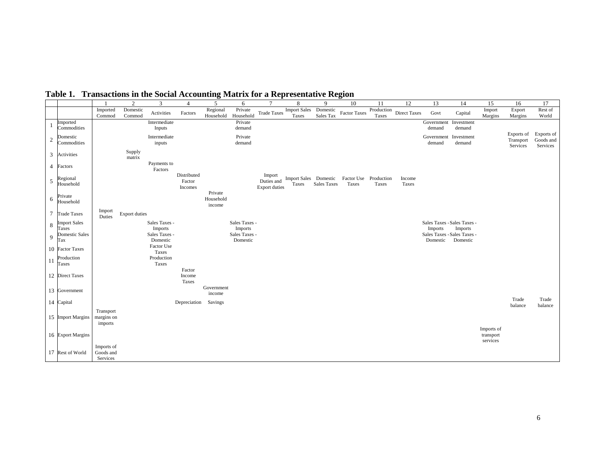|            |                              |                                     | $\sqrt{2}$           | 3                         | $\overline{4}$                   | 5                              | 6                         | $\overline{7}$                               | 8                              | 9                     | 10                  | 11                  | 12                  | 13                                      | 14                   | 15                                  | 16                                  | 17                                  |
|------------|------------------------------|-------------------------------------|----------------------|---------------------------|----------------------------------|--------------------------------|---------------------------|----------------------------------------------|--------------------------------|-----------------------|---------------------|---------------------|---------------------|-----------------------------------------|----------------------|-------------------------------------|-------------------------------------|-------------------------------------|
|            |                              | Imported<br>Commod                  | Domestic<br>Commod   | Activities                | Factors                          | Regional<br>Household          | Private<br>Household      | <b>Trade Taxes</b>                           | <b>Import Sales</b><br>Taxes   | Domestic<br>Sales Tax | <b>Factor Taxes</b> | Production<br>Taxes | <b>Direct Taxes</b> | Govt                                    | Capital              | Import<br>Margins                   | Export<br>Margins                   | Rest of<br>World                    |
|            | Imported<br>Commodities      |                                     |                      | Intermediate<br>Inputs    |                                  |                                | Private<br>demand         |                                              |                                |                       |                     |                     |                     | Government<br>demand                    | Investment<br>demand |                                     |                                     |                                     |
| $\sqrt{2}$ | Domestic<br>Commodities      |                                     |                      | Intermediate<br>inputs    |                                  |                                | Private<br>demand         |                                              |                                |                       |                     |                     |                     | Government<br>demand                    | Investment<br>demand |                                     | Exports of<br>Transport<br>Services | Exports of<br>Goods and<br>Services |
| 3          | Activities                   |                                     | Supply<br>matrix     |                           |                                  |                                |                           |                                              |                                |                       |                     |                     |                     |                                         |                      |                                     |                                     |                                     |
|            | 4 Factors                    |                                     |                      | Payments to<br>Factors    |                                  |                                |                           |                                              |                                |                       |                     |                     |                     |                                         |                      |                                     |                                     |                                     |
| $\sqrt{5}$ | Regional<br>Household        |                                     |                      |                           | Distributed<br>Factor<br>Incomes |                                |                           | Import<br>Duties and<br><b>Export duties</b> | Import Sales Domestic<br>Taxes | <b>Sales Taxes</b>    | Factor Use<br>Taxes | Production<br>Taxes | Income<br>Taxes     |                                         |                      |                                     |                                     |                                     |
| $\sqrt{6}$ | Private<br>Household         |                                     |                      |                           |                                  | Private<br>Household<br>income |                           |                                              |                                |                       |                     |                     |                     |                                         |                      |                                     |                                     |                                     |
|            | 7 Trade Taxes                | Import<br>Duties                    | <b>Export duties</b> |                           |                                  |                                |                           |                                              |                                |                       |                     |                     |                     |                                         |                      |                                     |                                     |                                     |
| 8          | <b>Import Sales</b><br>Taxes |                                     |                      | Sales Taxes -<br>Imports  |                                  |                                | Sales Taxes -<br>Imports  |                                              |                                |                       |                     |                     |                     | Sales Taxes - Sales Taxes -<br>Imports  | Imports              |                                     |                                     |                                     |
| 9          | Domestic Sales<br>Tax        |                                     |                      | Sales Taxes -<br>Domestic |                                  |                                | Sales Taxes -<br>Domestic |                                              |                                |                       |                     |                     |                     | Sales Taxes - Sales Taxes -<br>Domestic | Domestic             |                                     |                                     |                                     |
|            | 10 Factor Taxes              |                                     |                      | Factor Use<br>Taxes       |                                  |                                |                           |                                              |                                |                       |                     |                     |                     |                                         |                      |                                     |                                     |                                     |
| -11        | Production<br>Taxes          |                                     |                      | Production<br>Taxes       | Factor                           |                                |                           |                                              |                                |                       |                     |                     |                     |                                         |                      |                                     |                                     |                                     |
|            | 12 Direct Taxes              |                                     |                      |                           | Income<br>Taxes                  |                                |                           |                                              |                                |                       |                     |                     |                     |                                         |                      |                                     |                                     |                                     |
|            | 13 Government                |                                     |                      |                           |                                  | Government<br>income           |                           |                                              |                                |                       |                     |                     |                     |                                         |                      |                                     |                                     |                                     |
|            | 14 Capital                   |                                     |                      |                           | Depreciation                     | Savings                        |                           |                                              |                                |                       |                     |                     |                     |                                         |                      |                                     | Trade<br>balance                    | Trade<br>balance                    |
|            | 15 Import Margins            | Transport<br>margins on<br>imports  |                      |                           |                                  |                                |                           |                                              |                                |                       |                     |                     |                     |                                         |                      |                                     |                                     |                                     |
|            | 16 Export Margins            |                                     |                      |                           |                                  |                                |                           |                                              |                                |                       |                     |                     |                     |                                         |                      | Imports of<br>transport<br>services |                                     |                                     |
|            | 17 Rest of World             | Imports of<br>Goods and<br>Services |                      |                           |                                  |                                |                           |                                              |                                |                       |                     |                     |                     |                                         |                      |                                     |                                     |                                     |

**Table 1. Transactions in the Social Accounting Matrix for a Representative Region**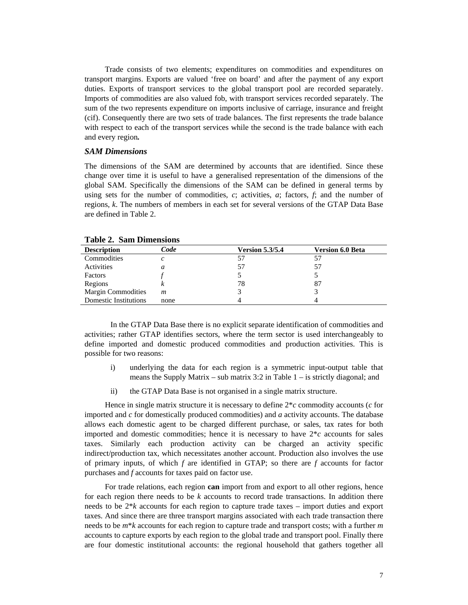Trade consists of two elements; expenditures on commodities and expenditures on transport margins. Exports are valued 'free on board' and after the payment of any export duties. Exports of transport services to the global transport pool are recorded separately. Imports of commodities are also valued fob, with transport services recorded separately. The sum of the two represents expenditure on imports inclusive of carriage, insurance and freight (cif). Consequently there are two sets of trade balances. The first represents the trade balance with respect to each of the transport services while the second is the trade balance with each and every region*.* 

#### *SAM Dimensions*

The dimensions of the SAM are determined by accounts that are identified. Since these change over time it is useful to have a generalised representation of the dimensions of the global SAM. Specifically the dimensions of the SAM can be defined in general terms by using sets for the number of commodities, *c*; activities, *a*; factors, *f*; and the number of regions, *k*. The numbers of members in each set for several versions of the GTAP Data Base are defined in Table 2.

| <b>Description</b>           | Code | <b>Version 5.3/5.4</b> | <b>Version 6.0 Beta</b> |
|------------------------------|------|------------------------|-------------------------|
| Commodities                  | с    |                        |                         |
| Activities                   | a    | 57                     | 57                      |
| Factors                      |      |                        |                         |
| Regions                      |      | 78                     | 87                      |
| <b>Margin Commodities</b>    | m    |                        |                         |
| <b>Domestic Institutions</b> | none |                        |                         |

#### **Table 2. Sam Dimensions**

In the GTAP Data Base there is no explicit separate identification of commodities and activities; rather GTAP identifies sectors, where the term sector is used interchangeably to define imported and domestic produced commodities and production activities. This is possible for two reasons:

- i) underlying the data for each region is a symmetric input-output table that means the Supply Matrix – sub matrix 3:2 in Table 1 – is strictly diagonal; and
- ii) the GTAP Data Base is not organised in a single matrix structure.

Hence in single matrix structure it is necessary to define 2\**c* commodity accounts (*c* for imported and *c* for domestically produced commodities) and *a* activity accounts. The database allows each domestic agent to be charged different purchase, or sales, tax rates for both imported and domestic commodities; hence it is necessary to have  $2 \nmid c$  accounts for sales taxes. Similarly each production activity can be charged an activity specific indirect/production tax, which necessitates another account. Production also involves the use of primary inputs, of which *f* are identified in GTAP; so there are *f* accounts for factor purchases and *f* accounts for taxes paid on factor use.

For trade relations, each region **can** import from and export to all other regions, hence for each region there needs to be *k* accounts to record trade transactions. In addition there needs to be 2\**k* accounts for each region to capture trade taxes – import duties and export taxes. And since there are three transport margins associated with each trade transaction there needs to be *m*\**k* accounts for each region to capture trade and transport costs; with a further *m* accounts to capture exports by each region to the global trade and transport pool. Finally there are four domestic institutional accounts: the regional household that gathers together all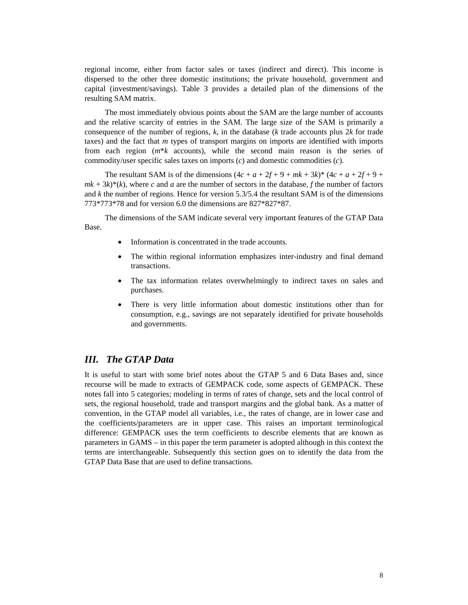regional income, either from factor sales or taxes (indirect and direct). This income is dispersed to the other three domestic institutions; the private household, government and capital (investment/savings). Table 3 provides a detailed plan of the dimensions of the resulting SAM matrix.

The most immediately obvious points about the SAM are the large number of accounts and the relative scarcity of entries in the SAM. The large size of the SAM is primarily a consequence of the number of regions, *k*, in the database (*k* trade accounts plus 2*k* for trade taxes) and the fact that *m* types of transport margins on imports are identified with imports from each region (*m*\**k* accounts), while the second main reason is the series of commodity/user specific sales taxes on imports (*c*) and domestic commodities (*c*).

The resultant SAM is of the dimensions  $(4c + a + 2f + 9 + mk + 3k)^* (4c + a + 2f + 9 +$  $mk + 3k$ <sup>\*</sup>(k), where *c* and *a* are the number of sectors in the database, *f* the number of factors and *k* the number of regions. Hence for version 5.3/5.4 the resultant SAM is of the dimensions 773\*773\*78 and for version 6.0 the dimensions are 827\*827\*87.

The dimensions of the SAM indicate several very important features of the GTAP Data Base.

- Information is concentrated in the trade accounts.
- The within regional information emphasizes inter-industry and final demand transactions.
- The tax information relates overwhelmingly to indirect taxes on sales and purchases.
- There is very little information about domestic institutions other than for consumption, e.g., savings are not separately identified for private households and governments.

# *III. The GTAP Data*

It is useful to start with some brief notes about the GTAP 5 and 6 Data Bases and, since recourse will be made to extracts of GEMPACK code, some aspects of GEMPACK. These notes fall into 5 categories; modeling in terms of rates of change, sets and the local control of sets, the regional household, trade and transport margins and the global bank. As a matter of convention, in the GTAP model all variables, i.e., the rates of change, are in lower case and the coefficients/parameters are in upper case. This raises an important terminological difference: GEMPACK uses the term coefficients to describe elements that are known as parameters in GAMS – in this paper the term parameter is adopted although in this context the terms are interchangeable. Subsequently this section goes on to identify the data from the GTAP Data Base that are used to define transactions.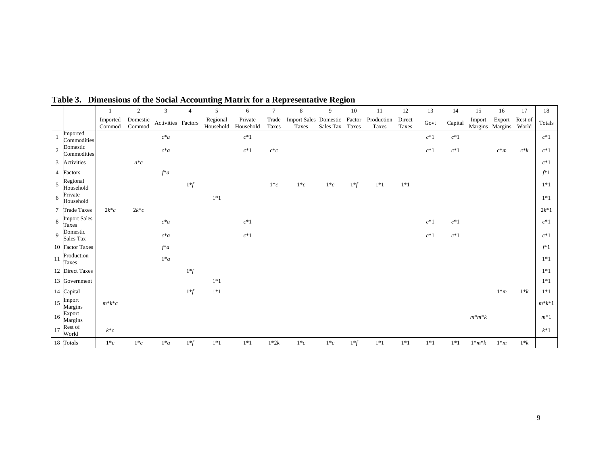|                |                              |                     | $\overline{2}$      | 3                  | $\overline{4}$ | 5                     | 6                    |                | 8                              | 9         | 10              | 11                  | 12              | 13     | 14      | 15                        | 16     | 17               | 18        |
|----------------|------------------------------|---------------------|---------------------|--------------------|----------------|-----------------------|----------------------|----------------|--------------------------------|-----------|-----------------|---------------------|-----------------|--------|---------|---------------------------|--------|------------------|-----------|
|                |                              | Imported<br>Commod  | Domestic<br>Commod  | Activities Factors |                | Regional<br>Household | Private<br>Household | Trade<br>Taxes | Import Sales Domestic<br>Taxes | Sales Tax | Factor<br>Taxes | Production<br>Taxes | Direct<br>Taxes | Govt   | Capital | Import<br>Margins Margins | Export | Rest of<br>World | Totals    |
|                | Imported<br>Commodities      |                     |                     | $c^*a$             |                |                       | $c^*1$               |                |                                |           |                 |                     |                 | $c^*1$ | $c^*1$  |                           |        |                  | $c^*1$    |
| $\overline{2}$ | Domestic<br>Commodities      |                     |                     | $c^*a$             |                |                       | $c^*1$               | $c^*c$         |                                |           |                 |                     |                 | $c^*1$ | $c^*1$  |                           | $c^*m$ | $c^*k$           | $c^*1$    |
| 3              | Activities                   |                     | $a^*c$              |                    |                |                       |                      |                |                                |           |                 |                     |                 |        |         |                           |        |                  | $c^*1$    |
|                | 4 Factors                    |                     |                     | $f^*a$             |                |                       |                      |                |                                |           |                 |                     |                 |        |         |                           |        |                  | $f^*1$    |
| 5              | Regional<br>Household        |                     |                     |                    | $1^*f$         |                       |                      | $1 * c$        | $1 \ast c$                     | $1$ * $c$ | $1*f$           | $1*1$               | $1*1$           |        |         |                           |        |                  | $1*1$     |
| 6              | Private<br>Household         |                     |                     |                    |                | $1*1$                 |                      |                |                                |           |                 |                     |                 |        |         |                           |        |                  | $1*1$     |
| 7              | <b>Trade Taxes</b>           | $2k$ <sup>*</sup> c | $2k$ <sup>*</sup> c |                    |                |                       |                      |                |                                |           |                 |                     |                 |        |         |                           |        |                  | $2k*1$    |
| 8              | <b>Import Sales</b><br>Taxes |                     |                     | $c^*a$             |                |                       | $c^*1$               |                |                                |           |                 |                     |                 | $c^*1$ | $c^*1$  |                           |        |                  | $c^*1$    |
| $\mathbf{Q}$   | Domestic<br>Sales Tax        |                     |                     | $c^*a$             |                |                       | $c^*1$               |                |                                |           |                 |                     |                 | $c^*1$ | $c^*1$  |                           |        |                  | $c^*1$    |
|                | 10 Factor Taxes              |                     |                     | $f^*a$             |                |                       |                      |                |                                |           |                 |                     |                 |        |         |                           |        |                  | $f^*1$    |
| 11             | Production<br><b>Taxes</b>   |                     |                     | $1^*a$             |                |                       |                      |                |                                |           |                 |                     |                 |        |         |                           |        |                  | $1*1$     |
|                | 12 Direct Taxes              |                     |                     |                    | $1^*f$         |                       |                      |                |                                |           |                 |                     |                 |        |         |                           |        |                  | $1*1$     |
|                | 13 Government                |                     |                     |                    |                | $1*1$                 |                      |                |                                |           |                 |                     |                 |        |         |                           |        |                  | $1*1$     |
|                | 14 Capital                   |                     |                     |                    | $1^*f$         | $1*1$                 |                      |                |                                |           |                 |                     |                 |        |         |                           | $1^*m$ | $1*k$            | $1*1$     |
| 15             | Import<br>Margins            | $m^*k^*c$           |                     |                    |                |                       |                      |                |                                |           |                 |                     |                 |        |         |                           |        |                  | $m^*k^*1$ |
| 16             | Export<br>Margins            |                     |                     |                    |                |                       |                      |                |                                |           |                 |                     |                 |        |         | $m*m*k$                   |        |                  | $m*1$     |
| 17             | Rest of<br>World             | $k^*c$              |                     |                    |                |                       |                      |                |                                |           |                 |                     |                 |        |         |                           |        |                  | $k^*1$    |
|                | 18 Totals                    | $1*c$               | $1*c$               | $1^*a$             | $1*f$          | $1*1$                 | $1*1$                | $1*2k$         | $1*c$                          | $1*c$     | $1^*f$          | $1*1$               | $1*1$           | $1*1$  | $1*1$   | $1^*m^*k$                 | $1^*m$ | $1*k$            |           |

**Table 3. Dimensions of the Social Accounting Matrix for a Representative Region**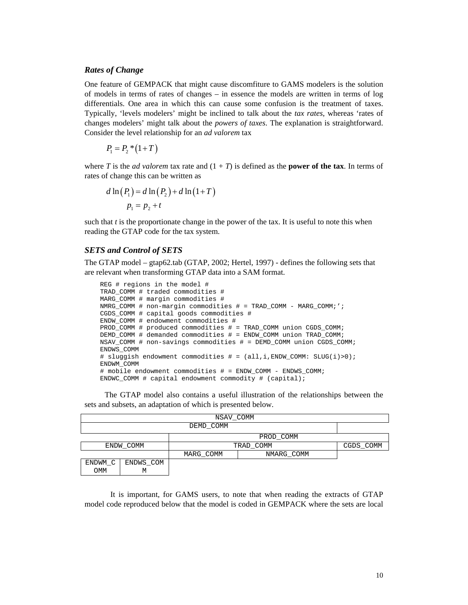#### *Rates of Change*

One feature of GEMPACK that might cause discomfiture to GAMS modelers is the solution of models in terms of rates of changes – in essence the models are written in terms of log differentials. One area in which this can cause some confusion is the treatment of taxes. Typically, 'levels modelers' might be inclined to talk about the *tax rates*, whereas 'rates of changes modelers' might talk about the *powers of taxes*. The explanation is straightforward. Consider the level relationship for an *ad valorem* tax

 $P_1 = P_2 * (1+T)$ 

where *T* is the *ad valorem* tax rate and  $(1 + T)$  is defined as the **power of the tax**. In terms of rates of change this can be written as

$$
d \ln(P_1) = d \ln(P_2) + d \ln(1+T)
$$
  

$$
p_1 = p_2 + t
$$

such that *t* is the proportionate change in the power of the tax. It is useful to note this when reading the GTAP code for the tax system.

## *SETS and Control of SETS*

The GTAP model – gtap62.tab (GTAP, 2002; Hertel, 1997) - defines the following sets that are relevant when transforming GTAP data into a SAM format.

```
 REG # regions in the model # 
 TRAD_COMM # traded commodities # 
 MARG_COMM # margin commodities # 
 NMRG_COMM # non-margin commodities # = TRAD_COMM - MARG_COMM;'; 
 CGDS_COMM # capital goods commodities # 
 ENDW_COMM # endowment commodities # 
 PROD_COMM # produced commodities # = TRAD_COMM union CGDS_COMM; 
DEMD COMM # demanded commodities # = ENDW COMM union TRAD COMM;
 NSAV_COMM # non-savings commodities # = DEMD_COMM union CGDS_COMM; 
 ENDWS_COMM 
 # sluggish endowment commodities # = (all,i,ENDW_COMM: SLUG(i)>0); 
 ENDWM_COMM 
 # mobile endowment commodities # = ENDW_COMM - ENDWS_COMM; 
 ENDWC_COMM # capital endowment commodity # (capital);
```
The GTAP model also contains a useful illustration of the relationships between the sets and subsets, an adaptation of which is presented below.

|         | NSAV COMM |           |            |  |  |  |  |  |  |  |  |
|---------|-----------|-----------|------------|--|--|--|--|--|--|--|--|
|         | DEMD COMM |           |            |  |  |  |  |  |  |  |  |
|         |           |           | PROD COMM  |  |  |  |  |  |  |  |  |
|         | ENDW COMM | TRAD COMM | CGDS COMM  |  |  |  |  |  |  |  |  |
|         |           | MARG COMM | NMARG COMM |  |  |  |  |  |  |  |  |
| ENDWM C | ENDWS COM |           |            |  |  |  |  |  |  |  |  |
| MMO     | М         |           |            |  |  |  |  |  |  |  |  |

It is important, for GAMS users, to note that when reading the extracts of GTAP model code reproduced below that the model is coded in GEMPACK where the sets are local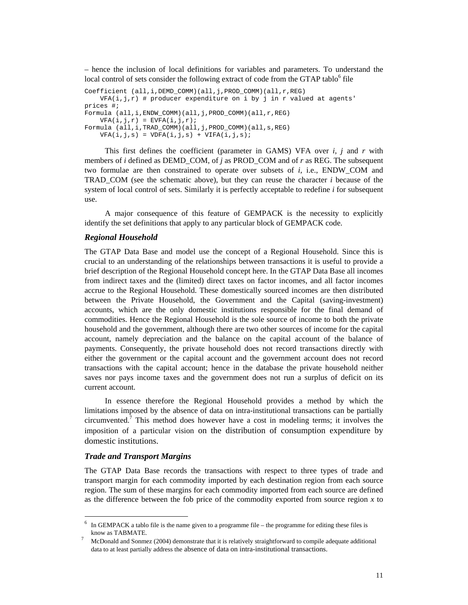– hence the inclusion of local definitions for variables and parameters. To understand the local control of sets consider the following extract of code from the GTAP tablo<sup>6</sup> file

```
Coefficient (all,i,DEMD_COMM)(all,j,PROD_COMM)(all,r,REG) 
   VFA(i,j,r) # producer expenditure on i by j in r valued at agents'
prices #; 
Formula (all,i,ENDW_COMM)(all,j,PROD_COMM)(all,r,REG) 
   VFA(i,j,r) = EVFA(i,j,r);Formula (all,i,TRAD_COMM)(all,j,PROD_COMM)(all,s,REG) 
   VFA(i,j,s) = VDFA(i,j,s) + VIFA(i,j,s);
```
This first defines the coefficient (parameter in GAMS) VFA over *i*, *j* and *r* with members of *i* defined as DEMD\_COM, of *j* as PROD\_COM and of *r* as REG. The subsequent two formulae are then constrained to operate over subsets of *i*, i.e., ENDW\_COM and TRAD\_COM (see the schematic above), but they can reuse the character *i* because of the system of local control of sets. Similarly it is perfectly acceptable to redefine *i* for subsequent use.

A major consequence of this feature of GEMPACK is the necessity to explicitly identify the set definitions that apply to any particular block of GEMPACK code.

#### *Regional Household*

The GTAP Data Base and model use the concept of a Regional Household. Since this is crucial to an understanding of the relationships between transactions it is useful to provide a brief description of the Regional Household concept here. In the GTAP Data Base all incomes from indirect taxes and the (limited) direct taxes on factor incomes, and all factor incomes accrue to the Regional Household. These domestically sourced incomes are then distributed between the Private Household, the Government and the Capital (saving-investment) accounts, which are the only domestic institutions responsible for the final demand of commodities. Hence the Regional Household is the sole source of income to both the private household and the government, although there are two other sources of income for the capital account, namely depreciation and the balance on the capital account of the balance of payments. Consequently, the private household does not record transactions directly with either the government or the capital account and the government account does not record transactions with the capital account; hence in the database the private household neither saves nor pays income taxes and the government does not run a surplus of deficit on its current account.

In essence therefore the Regional Household provides a method by which the limitations imposed by the absence of data on intra-institutional transactions can be partially circumvented.<sup>7</sup> This method does however have a cost in modeling terms; it involves the imposition of a particular vision on the distribution of consumption expenditure by domestic institutions.

#### *Trade and Transport Margins*

 $\overline{a}$ 

The GTAP Data Base records the transactions with respect to three types of trade and transport margin for each commodity imported by each destination region from each source region. The sum of these margins for each commodity imported from each source are defined as the difference between the fob price of the commodity exported from source region *x* to

 $6\;$  In GEMPACK a tablo file is the name given to a programme file – the programme for editing these files is know as TABMATE.<br>McDonald and Sonmez (2004) demonstrate that it is relatively straightforward to compile adequate additional

data to at least partially address the absence of data on intra-institutional transactions.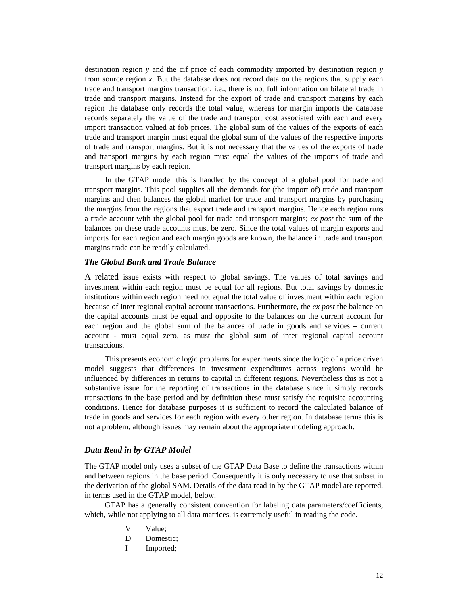destination region *y* and the cif price of each commodity imported by destination region *y* from source region *x*. But the database does not record data on the regions that supply each trade and transport margins transaction, i.e., there is not full information on bilateral trade in trade and transport margins. Instead for the export of trade and transport margins by each region the database only records the total value, whereas for margin imports the database records separately the value of the trade and transport cost associated with each and every import transaction valued at fob prices. The global sum of the values of the exports of each trade and transport margin must equal the global sum of the values of the respective imports of trade and transport margins. But it is not necessary that the values of the exports of trade and transport margins by each region must equal the values of the imports of trade and transport margins by each region.

In the GTAP model this is handled by the concept of a global pool for trade and transport margins. This pool supplies all the demands for (the import of) trade and transport margins and then balances the global market for trade and transport margins by purchasing the margins from the regions that export trade and transport margins. Hence each region runs a trade account with the global pool for trade and transport margins; *ex post* the sum of the balances on these trade accounts must be zero. Since the total values of margin exports and imports for each region and each margin goods are known, the balance in trade and transport margins trade can be readily calculated.

## *The Global Bank and Trade Balance*

A related issue exists with respect to global savings. The values of total savings and investment within each region must be equal for all regions. But total savings by domestic institutions within each region need not equal the total value of investment within each region because of inter regional capital account transactions. Furthermore, the *ex post* the balance on the capital accounts must be equal and opposite to the balances on the current account for each region and the global sum of the balances of trade in goods and services – current account - must equal zero, as must the global sum of inter regional capital account transactions.

This presents economic logic problems for experiments since the logic of a price driven model suggests that differences in investment expenditures across regions would be influenced by differences in returns to capital in different regions. Nevertheless this is not a substantive issue for the reporting of transactions in the database since it simply records transactions in the base period and by definition these must satisfy the requisite accounting conditions. Hence for database purposes it is sufficient to record the calculated balance of trade in goods and services for each region with every other region. In database terms this is not a problem, although issues may remain about the appropriate modeling approach.

#### *Data Read in by GTAP Model*

The GTAP model only uses a subset of the GTAP Data Base to define the transactions within and between regions in the base period. Consequently it is only necessary to use that subset in the derivation of the global SAM. Details of the data read in by the GTAP model are reported, in terms used in the GTAP model, below.

GTAP has a generally consistent convention for labeling data parameters/coefficients, which, while not applying to all data matrices, is extremely useful in reading the code.

- V Value;
- D Domestic;
- I Imported;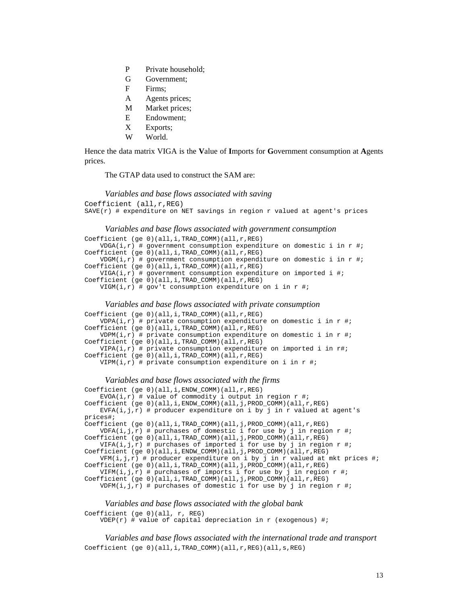- P Private household;
- G Government;
- F Firms;
- A Agents prices;
- M Market prices;
- E Endowment;
- X Exports;
- W World.

Hence the data matrix VIGA is the **V**alue of **I**mports for **G**overnment consumption at **A**gents prices.

The GTAP data used to construct the SAM are:

```
Variables and base flows associated with saving 
Coefficient (all,r,REG) 
SAVE(r) # expenditure on NET savings in region r valued at agent's prices
```
#### *Variables and base flows associated with government consumption*

```
Coefficient (ge 0)(all,i,TRAD_COMM)(all,r,REG) 
    VDGA(i, r) # government consumption expenditure on domestic i in r \#;
Coefficient (ge 0)(all,i,TRAD_COMM)(all,r,REG) 
   VDGM(i,r) # government consumption expenditure on domestic i in r \#;
Coefficient (ge 0)(all,i,TRAD_COMM)(all,r,REG) 
   VIGA(i,r) # government consumption expenditure on imported i #;
Coefficient (ge 0)(all,i,TRAD_COMM)(all,r,REG) 
   VIGM(i,r) # gov't consumption expenditure on i in r #;
```
#### *Variables and base flows associated with private consumption*

```
Coefficient (ge 0)(all,i,TRAD_COMM)(all,r,REG) 
   VDPA(i, r) # private consumption expenditure on domestic i in r \#;
Coefficient (ge 0)(all,i,TRAD_COMM)(all,r,REG) 
    VDPM(i,r) # private consumption expenditure on domestic i in r \#;
Coefficient (ge 0)(all,i,TRAD_COMM)(all,r,REG) 
   VIPA(i, r) # private consumption expenditure on imported i in r#;
Coefficient (ge 0)(all,i,TRAD_COMM)(all,r,REG) 
   VIPM(i,r) # private consumption expenditure on i in r \# i
```
#### *Variables and base flows associated with the firms*

```
Coefficient (ge 0)(all,i,ENDW_COMM)(all,r,REG) 
   EVOA(i,r) # value of commodity i output in region r #;
Coefficient (ge 0)(all,i,ENDW_COMM)(all,j,PROD_COMM)(all,r,REG) 
   EVFA(i,j,r) # producer expenditure on i by j in r valued at agent's
prices#; 
Coefficient (ge 0)(all,i,TRAD_COMM)(all,j,PROD_COMM)(all,r,REG) 
    VDFA(i,j,r) # purchases of domestic i for use by j in region r \#;
Coefficient (ge 0)(all,i,TRAD_COMM)(all,j,PROD_COMM)(all,r,REG) 
   VIFA(i,j,r) # purchases of imported i for use by j in region r \# iCoefficient (ge 0)(all,i,ENDW_COMM)(all,j,PROD_COMM)(all,r,REG) 
   VFM(i,j,r) # producer expenditure on i by j in r valued at mkt prices #;
Coefficient (ge 0)(all,i,TRAD_COMM)(all,j,PROD_COMM)(all,r,REG) 
   VIFM(i,j,r) # purchases of imports i for use by j in region r #;
Coefficient (ge 0)(all,i,TRAD_COMM)(all,j,PROD_COMM)(all,r,REG) 
   VDFM(i,j,r) # purchases of domestic i for use by j in region r \#;
```
#### *Variables and base flows associated with the global bank*

```
Coefficient (ge 0)(all, r, REG)
```
 $VDEP(r)$  # value of capital depreciation in r (exogenous) #;

*Variables and base flows associated with the international trade and transport*  Coefficient (ge 0)(all,i,TRAD\_COMM)(all,r,REG)(all,s,REG)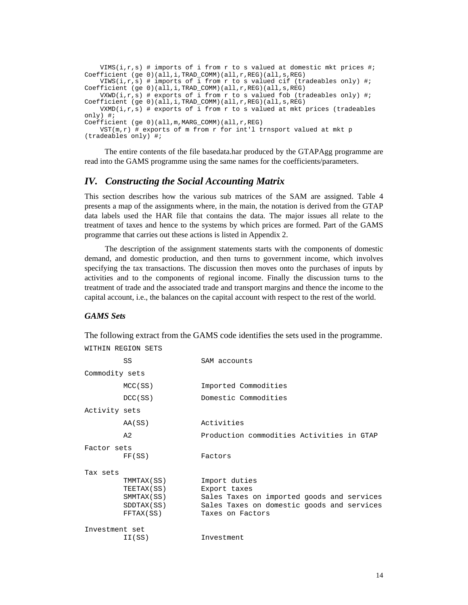```
 VIMS(i,r,s) # imports of i from r to s valued at domestic mkt prices #; 
Coefficient (ge 0)(all,i,TRAD_COMM)(all,r,REG)(all,s,REG) 
    VIWS(i,r,s) # imports of i from r to s valued cif (tradeables only) #; 
Coefficient (ge 0)(all,i,TRAD_COMM)(all,r,REG)(all,s,REG) 
   VXWD(i,r,s) # exports of i from r to s valued fob (tradeables only) #;
Coefficient (ge 0)(all,i,TRAD_COMM)(all,r,REG)(all,s,REG) 
   VXMD(i,r,s) # exports of i from r to s valued at mkt prices (tradeables
only) #; 
Coefficient (ge 0)(all,m,MARG_COMM)(all,r,REG) 
   VST(m,r) # exports of m from r for int'l trnsport valued at mkt p
(tradeables only) #;
```
The entire contents of the file basedata.har produced by the GTAPAgg programme are read into the GAMS programme using the same names for the coefficients/parameters.

# *IV. Constructing the Social Accounting Matrix*

This section describes how the various sub matrices of the SAM are assigned. Table 4 presents a map of the assignments where, in the main, the notation is derived from the GTAP data labels used the HAR file that contains the data. The major issues all relate to the treatment of taxes and hence to the systems by which prices are formed. Part of the GAMS programme that carries out these actions is listed in Appendix 2.

The description of the assignment statements starts with the components of domestic demand, and domestic production, and then turns to government income, which involves specifying the tax transactions. The discussion then moves onto the purchases of inputs by activities and to the components of regional income. Finally the discussion turns to the treatment of trade and the associated trade and transport margins and thence the income to the capital account, i.e., the balances on the capital account with respect to the rest of the world.

#### *GAMS Sets*

WITHIN REGION SETS

The following extract from the GAMS code identifies the sets used in the programme.

|                | SS         | SAM accounts                               |
|----------------|------------|--------------------------------------------|
| Commodity sets |            |                                            |
|                | MCC(SS)    | Imported Commodities                       |
|                | DCC(SS)    | Domestic Commodities                       |
| Activity sets  |            |                                            |
|                | AA(SS)     | Activities                                 |
|                | $A$ 2.     | Production commodities Activities in GTAP  |
| Factor sets    |            |                                            |
|                | FF(SS)     | Factors                                    |
| Tax sets       |            |                                            |
|                | TMMTAX(SS) | Import duties                              |
|                | TEETAX(SS) | Export taxes                               |
|                | SMMTAX(SS) | Sales Taxes on imported goods and services |
|                | SDDTAX(SS) | Sales Taxes on domestic goods and services |
|                | FFTAX(SS)  | Taxes on Factors                           |
| Investment set |            |                                            |
|                | II(SS)     | Investment                                 |

14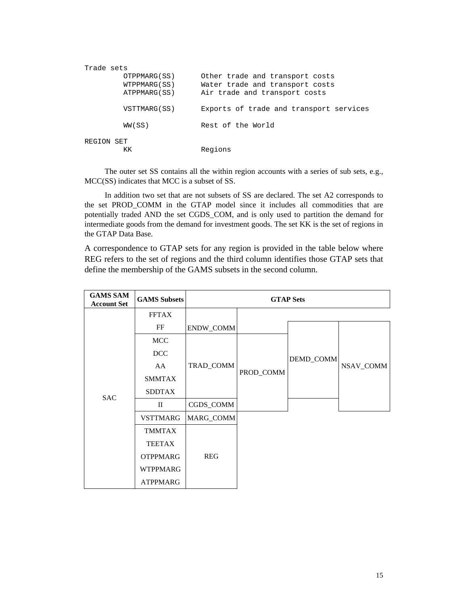| Trade sets |              |                                         |
|------------|--------------|-----------------------------------------|
|            | OTPPMARG(SS) | Other trade and transport costs         |
|            | WTPPMARG(SS) | Water trade and transport costs         |
|            | ATPPMARG(SS) | Air trade and transport costs           |
|            | VSTTMARG(SS) | Exports of trade and transport services |
|            | WW(SS)       | Rest of the World                       |
| REGION SET |              |                                         |
|            |              | Regions                                 |

The outer set SS contains all the within region accounts with a series of sub sets, e.g., MCC(SS) indicates that MCC is a subset of SS.

In addition two set that are not subsets of SS are declared. The set A2 corresponds to the set PROD\_COMM in the GTAP model since it includes all commodities that are potentially traded AND the set CGDS\_COM, and is only used to partition the demand for intermediate goods from the demand for investment goods. The set KK is the set of regions in the GTAP Data Base.

A correspondence to GTAP sets for any region is provided in the table below where REG refers to the set of regions and the third column identifies those GTAP sets that define the membership of the GAMS subsets in the second column.

| <b>GAMS SAM</b><br><b>Account Set</b> | <b>GAMS</b> Subsets |            |           | <b>GTAP Sets</b> |           |  |
|---------------------------------------|---------------------|------------|-----------|------------------|-----------|--|
|                                       | <b>FFTAX</b>        |            |           |                  |           |  |
|                                       | FF                  | ENDW_COMM  |           |                  |           |  |
| <b>SAC</b>                            | <b>MCC</b>          |            |           |                  |           |  |
|                                       | <b>DCC</b>          |            | PROD_COMM | DEMD_COMM        | NSAV_COMM |  |
|                                       | AA                  | TRAD_COMM  |           |                  |           |  |
|                                       | <b>SMMTAX</b>       |            |           |                  |           |  |
|                                       | <b>SDDTAX</b>       |            |           |                  |           |  |
|                                       | $\mathbf{I}$        | CGDS_COMM  |           |                  |           |  |
|                                       | <b>VSTTMARG</b>     | MARG_COMM  |           |                  |           |  |
|                                       | <b>TMMTAX</b>       |            |           |                  |           |  |
|                                       | <b>TEETAX</b>       |            |           |                  |           |  |
|                                       | <b>OTPPMARG</b>     | <b>REG</b> |           |                  |           |  |
|                                       | <b>WTPPMARG</b>     |            |           |                  |           |  |
|                                       | <b>ATPPMARG</b>     |            |           |                  |           |  |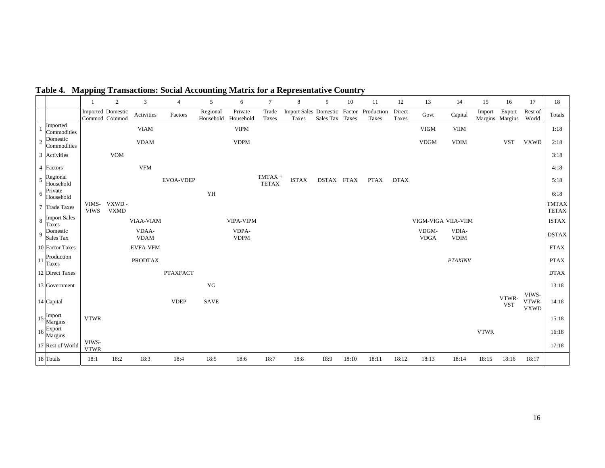|                |                                     | -1                   | $\boldsymbol{2}$                   | 3                    | $\overline{4}$  | 5           | 6                              | $\tau$                    | 8                              | 9               | 10     | 11                  | 12              | 13                   | 14                   | 15          | 16                        | 17                            | 18                           |
|----------------|-------------------------------------|----------------------|------------------------------------|----------------------|-----------------|-------------|--------------------------------|---------------------------|--------------------------------|-----------------|--------|---------------------|-----------------|----------------------|----------------------|-------------|---------------------------|-------------------------------|------------------------------|
|                |                                     |                      | Imported Domestic<br>Commod Commod | Activities           | Factors         | Regional    | Private<br>Household Household | Trade<br>Taxes            | Import Sales Domestic<br>Taxes | Sales Tax Taxes | Factor | Production<br>Taxes | Direct<br>Taxes | Govt                 | Capital              | Import      | Export<br>Margins Margins | Rest of<br>World              | Totals                       |
|                | Imported<br>Commodities             |                      |                                    | <b>VIAM</b>          |                 |             | <b>VIPM</b>                    |                           |                                |                 |        |                     |                 | <b>VIGM</b>          | <b>VIIM</b>          |             |                           |                               | 1:18                         |
| $\overline{2}$ | Domestic<br>Commodities             |                      |                                    | <b>VDAM</b>          |                 |             | <b>VDPM</b>                    |                           |                                |                 |        |                     |                 | <b>VDGM</b>          | <b>VDIM</b>          |             | <b>VST</b>                | <b>VXWD</b>                   | 2:18                         |
|                | 3 Activities                        |                      | <b>VOM</b>                         |                      |                 |             |                                |                           |                                |                 |        |                     |                 |                      |                      |             |                           |                               | 3:18                         |
|                | 4 Factors                           |                      |                                    | <b>VFM</b>           |                 |             |                                |                           |                                |                 |        |                     |                 |                      |                      |             |                           |                               | 4:18                         |
| 5              | Regional<br>Household               |                      |                                    |                      | EVOA-VDEP       |             |                                | $TMTAX +$<br><b>TETAX</b> | <b>ISTAX</b>                   | DSTAX FTAX      |        | <b>PTAX</b>         | <b>DTAX</b>     |                      |                      |             |                           |                               | 5:18                         |
| 6              | Private<br>Household                |                      |                                    |                      |                 | YH          |                                |                           |                                |                 |        |                     |                 |                      |                      |             |                           |                               | 6:18                         |
|                | 7 Trade Taxes                       | <b>VIWS</b>          | VIMS- VXWD-<br><b>VXMD</b>         |                      |                 |             |                                |                           |                                |                 |        |                     |                 |                      |                      |             |                           |                               | <b>TMTAX</b><br><b>TETAX</b> |
| $\,8\,$        | <b>Import Sales</b><br><b>Taxes</b> |                      |                                    | VIAA-VIAM            |                 |             | <b>VIPA-VIPM</b>               |                           |                                |                 |        |                     |                 | VIGM-VIGA VIIA-VIIM  |                      |             |                           |                               | <b>ISTAX</b>                 |
| 9              | Domestic<br>Sales Tax               |                      |                                    | VDAA-<br><b>VDAM</b> |                 |             | VDPA-<br><b>VDPM</b>           |                           |                                |                 |        |                     |                 | VDGM-<br><b>VDGA</b> | VDIA-<br><b>VDIM</b> |             |                           |                               | <b>DSTAX</b>                 |
|                | 10 Factor Taxes                     |                      |                                    | <b>EVFA-VFM</b>      |                 |             |                                |                           |                                |                 |        |                     |                 |                      |                      |             |                           |                               | <b>FTAX</b>                  |
| 11             | Production<br>Taxes                 |                      |                                    | <b>PRODTAX</b>       |                 |             |                                |                           |                                |                 |        |                     |                 |                      | <b>PTAXINV</b>       |             |                           |                               | <b>PTAX</b>                  |
|                | 12 Direct Taxes                     |                      |                                    |                      | <b>PTAXFACT</b> |             |                                |                           |                                |                 |        |                     |                 |                      |                      |             |                           |                               | <b>DTAX</b>                  |
|                | 13 Government                       |                      |                                    |                      |                 | YG          |                                |                           |                                |                 |        |                     |                 |                      |                      |             |                           |                               | 13:18                        |
|                | 14 Capital                          |                      |                                    |                      | <b>VDEP</b>     | <b>SAVE</b> |                                |                           |                                |                 |        |                     |                 |                      |                      |             | VTWR-<br><b>VST</b>       | VIWS-<br>VTWR-<br><b>VXWD</b> | 14:18                        |
|                | 15 Import<br>Margins                | <b>VTWR</b>          |                                    |                      |                 |             |                                |                           |                                |                 |        |                     |                 |                      |                      |             |                           |                               | 15:18                        |
|                | 16 Export<br>Margins                |                      |                                    |                      |                 |             |                                |                           |                                |                 |        |                     |                 |                      |                      | <b>VTWR</b> |                           |                               | 16:18                        |
|                | 17 Rest of World                    | VIWS-<br><b>VTWR</b> |                                    |                      |                 |             |                                |                           |                                |                 |        |                     |                 |                      |                      |             |                           |                               | 17:18                        |
|                | 18 Totals                           | 18:1                 | 18:2                               | 18:3                 | 18:4            | 18:5        | 18:6                           | 18:7                      | 18:8                           | 18:9            | 18:10  | 18:11               | 18:12           | 18:13                | 18:14                | 18:15       | 18:16                     | 18:17                         |                              |

**Table 4. Mapping Transactions: Social Accounting Matrix for a Representative Country**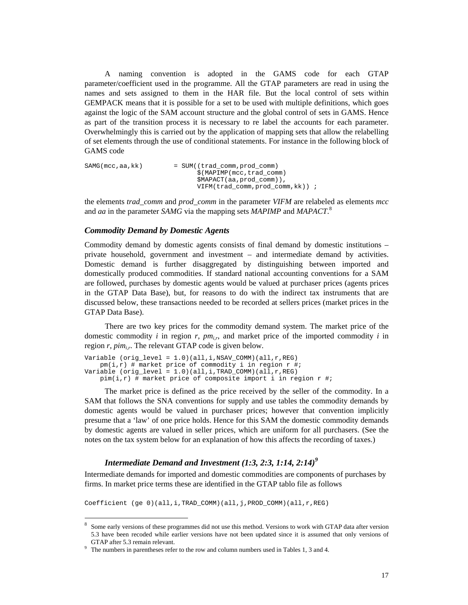A naming convention is adopted in the GAMS code for each GTAP parameter/coefficient used in the programme. All the GTAP parameters are read in using the names and sets assigned to them in the HAR file. But the local control of sets within GEMPACK means that it is possible for a set to be used with multiple definitions, which goes against the logic of the SAM account structure and the global control of sets in GAMS. Hence as part of the transition process it is necessary to re label the accounts for each parameter. Overwhelmingly this is carried out by the application of mapping sets that allow the relabelling of set elements through the use of conditional statements. For instance in the following block of GAMS code

SAMG(mcc,aa,kk) = SUM((trad\_comm,prod\_comm) \$(MAPIMP(mcc,trad\_comm) \$MAPACT(aa,prod\_comm)), VIFM(trad\_comm,prod\_comm,kk)) ;

the elements *trad\_comm* and *prod\_comm* in the parameter *VIFM* are relabeled as elements *mcc* and *aa* in the parameter *SAMG* via the mapping sets *MAPIMP* and *MAPACT*. 8

#### *Commodity Demand by Domestic Agents*

Commodity demand by domestic agents consists of final demand by domestic institutions – private household, government and investment – and intermediate demand by activities. Domestic demand is further disaggregated by distinguishing between imported and domestically produced commodities. If standard national accounting conventions for a SAM are followed, purchases by domestic agents would be valued at purchaser prices (agents prices in the GTAP Data Base), but, for reasons to do with the indirect tax instruments that are discussed below, these transactions needed to be recorded at sellers prices (market prices in the GTAP Data Base).

There are two key prices for the commodity demand system. The market price of the domestic commodity *i* in region *r*,  $pm_i$ , and market price of the imported commodity *i* in region  $r$ ,  $\text{pim}_{ir}$ . The relevant GTAP code is given below.

```
Variable (orig_level = 1.0)(all,i,NSAV_COMM)(all,r,REG)
   pm(i,r) # market price of commodity i in region r #;
Variable (orig\_level = 1.0)(all,i,TRAD\_COMM)(all,r,REG)pim(i, r) # market price of composite import i in region r #;
```
The market price is defined as the price received by the seller of the commodity. In a SAM that follows the SNA conventions for supply and use tables the commodity demands by domestic agents would be valued in purchaser prices; however that convention implicitly presume that a 'law' of one price holds. Hence for this SAM the domestic commodity demands by domestic agents are valued in seller prices, which are uniform for all purchasers. (See the notes on the tax system below for an explanation of how this affects the recording of taxes.)

# *Intermediate Demand and Investment (1:3, 2:3, 1:14, 2:14)<sup>9</sup>*

Intermediate demands for imported and domestic commodities are components of purchases by firms. In market price terms these are identified in the GTAP tablo file as follows

Coefficient (ge 0)(all,i,TRAD\_COMM)(all,j,PROD\_COMM)(all,r,REG)

<sup>&</sup>lt;sup>8</sup> Some early versions of these programmes did not use this method. Versions to work with GTAP data after version 5.3 have been recoded while earlier versions have not been updated since it is assumed that only versions of GTAP after 5.3 remain relevant.

 $9$  The numbers in parentheses refer to the row and column numbers used in Tables 1, 3 and 4.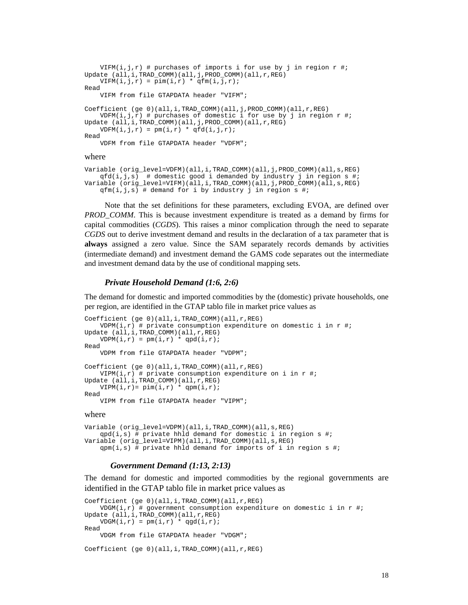```
VIFM(i,j,r) # purchases of imports i for use by j in region r \#;
Update (all,i,TRAD_COMM)(all,j,PROD_COMM)(all,r,REG) 
    VIFM(i,j,r) = pim(i,r) * qfm(i,j,r);Read 
     VIFM from file GTAPDATA header "VIFM"; 
Coefficient (ge 0)(all,i,TRAD_COMM)(all,j,PROD_COMM)(all,r,REG) 
    VDFM(i,j,r) # purchases of domestic i for use by j in region r \#;
Update (all,i,TRAD_COMM)(all,j,PROD_COMM)(all,r,REG) 
    \texttt{VDFM}(\texttt{i},\texttt{j},\texttt{r}) \ = \ \texttt{pm}(\texttt{i},\texttt{r}) \ * \ \texttt{qfd}(\texttt{i},\texttt{j},\texttt{r}) \, \texttt{;}Read 
      VDFM from file GTAPDATA header "VDFM";
```
#### where

```
Variable (orig_level=VDFM)(all,i,TRAD_COMM)(all,j,PROD_COMM)(all,s,REG) 
   qfd(i,j,s) # domestic good i demanded by industry j in region s #;
Variable (orig_level=VIFM)(all,i,TRAD_COMM)(all,j,PROD_COMM)(all,s,REG) 
   qfm(i,j,s) # demand for i by industry j in region s #;
```
Note that the set definitions for these parameters, excluding EVOA, are defined over *PROD COMM*. This is because investment expenditure is treated as a demand by firms for capital commodities (*CGDS*). This raises a minor complication through the need to separate *CGDS* out to derive investment demand and results in the declaration of a tax parameter that is **always** assigned a zero value. Since the SAM separately records demands by activities (intermediate demand) and investment demand the GAMS code separates out the intermediate and investment demand data by the use of conditional mapping sets.

## *Private Household Demand (1:6, 2:6)*

The demand for domestic and imported commodities by the (domestic) private households, one per region, are identified in the GTAP tablo file in market price values as

```
Coefficient (ge 0)(all,i,TRAD_COMM)(all,r,REG) 
     VDPM(i, r) # private consumption expenditure on domestic i in r \# iUpdate (all,i,TRAD_COMM)(all,r,REG) 
    \texttt{VDPM}(\texttt{i},\texttt{r}) \ = \ \texttt{pm}(\texttt{i},\texttt{r}) \ \texttt{``} \ \texttt{qpd}(\texttt{i},\texttt{r}) \ \texttt{''}Read 
      VDPM from file GTAPDATA header "VDPM"; 
Coefficient (ge 0)(all,i,TRAD_COMM)(all,r,REG) 
    VIPM(i,r) # private consumption expenditure on i in r #;
Update (all,i,TRAD_COMM)(all,r,REG) 
     VIPM(i,r) = pim(i,r) * qpm(i,r);Read 
      VIPM from file GTAPDATA header "VIPM";
```
#### where

```
Variable (orig_level=VDPM)(all,i,TRAD_COMM)(all,s,REG) 
   qpd(i,s) # private hhld demand for domestic i in region s #;
Variable (orig_level=VIPM)(all,i,TRAD_COMM)(all,s,REG) 
    qpm(i,s) # private hhld demand for imports of i in region s #;
```
#### *Government Demand (1:13, 2:13)*

The demand for domestic and imported commodities by the regional governments are identified in the GTAP tablo file in market price values as

```
Coefficient (ge 0)(all,i,TRAD_COMM)(all,r,REG) 
   VDGM(i,r) # government consumption expenditure on domestic i in r #;
Update (all,i,TRAD_COMM)(all,r,REG) 
   VDGM(i,r) = pm(i,r) * qgd(i,r);Read 
    VDGM from file GTAPDATA header "VDGM";
```

```
Coefficient (ge 0)(all,i,TRAD_COMM)(all,r,REG)
```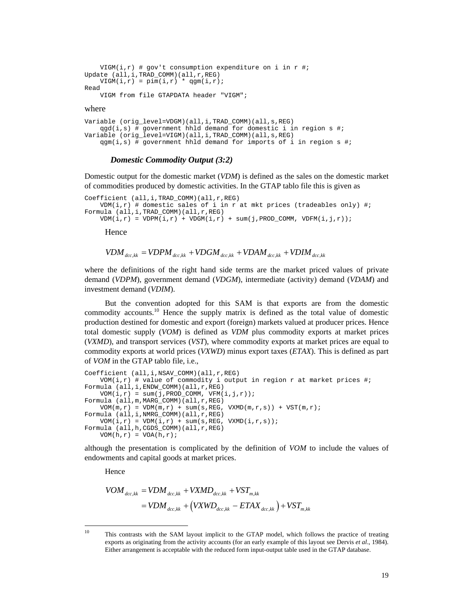```
VIGM(i,r) # gov't consumption expenditure on i in r #;
Update (all,i,TRAD_COMM)(all,r,REG) 
   VIGM(i,r) = pim(i,r) * qgm(i,r);Read 
    VIGM from file GTAPDATA header "VIGM";
```
#### where

```
Variable (orig_level=VDGM)(all,i,TRAD_COMM)(all,s,REG) 
    qgd(i,s) # government hhld demand for domestic i in region s #;
Variable (orig_level=VIGM)(all,i,TRAD_COMM)(all,s,REG) 
   qgm(i, s) # government hhld demand for imports of i in region s #;
```
#### *Domestic Commodity Output (3:2)*

Domestic output for the domestic market (*VDM*) is defined as the sales on the domestic market of commodities produced by domestic activities. In the GTAP tablo file this is given as

```
Coefficient (all,i,TRAD_COMM)(all,r,REG) 
    VDM(i,r) # domestic sales of i in r at mkt prices (tradeables only) #;
Formula (all,i,TRAD_COMM)(all,r,REG) 
    VDM(i, r) = VDPM(i, r) + VDGM(i, r) + sum(j, PROD_COMM, VDFM(i, j, r));
```
Hence

$$
VDM_{_{dcc,kk}} = VDPM_{_{dcc,kk}} + VDGM_{_{dcc,kk}} + VDAM_{_{dcc,kk}} + VDM_{_{dcc,kk}}
$$

where the definitions of the right hand side terms are the market priced values of private demand (*VDPM*), government demand (*VDGM*), intermediate (activity) demand (*VDAM*) and investment demand (*VDIM*).

But the convention adopted for this SAM is that exports are from the domestic commodity accounts.<sup>10</sup> Hence the supply matrix is defined as the total value of domestic production destined for domestic and export (foreign) markets valued at producer prices. Hence total domestic supply (*VOM*) is defined as *VDM* plus commodity exports at market prices (*VXMD*), and transport services (*VST*), where commodity exports at market prices are equal to commodity exports at world prices (*VXWD*) minus export taxes (*ETAX*). This is defined as part of *VOM* in the GTAP tablo file, i.e.,

```
Coefficient (all,i,NSAV_COMM)(all,r,REG)
   VOM(i,r) # value of commodity i output in region r at market prices #;
Formula (all,i,ENDW_COMM)(all,r,REG) 
   VOM(i,r) = sum(j, PROD\_COMM, VFM(i,j,r));Formula (all,m,MARG_COMM)(all,r,REG) 
    VOM(m,r) = VDM(m,r) + sum(s, REG, VXMD(m,r,s)) + VST(m,r);Formula (all,i,NMRG_COMM)(all,r,REG) 
   VOM(i,r) = VDM(i,r) + sum(s, REG, VXMD(i,r,s));Formula (all,h,CGDS_COMM)(all,r,REG) 
    VOM(h,r) = VOA(h,r);
```
although the presentation is complicated by the definition of *VOM* to include the values of endowments and capital goods at market prices.

Hence

$$
VOM_{\text{dec},kk} = VDM_{\text{dec},kk} + VXMD_{\text{dec},kk} + VST_{m,kk}
$$
  
=  $VDM_{\text{dec},kk} + (VXWD_{\text{dec},kk} - ETAX_{\text{dec},kk}) + VST_{m,kk}$ 

 $\overline{a}$ 

<sup>&</sup>lt;sup>10</sup> This contrasts with the SAM layout implicit to the GTAP model, which follows the practice of treating exports as originating from the activity accounts (for an early example of this layout see Dervis *et al*., 1984). Either arrangement is acceptable with the reduced form input-output table used in the GTAP database.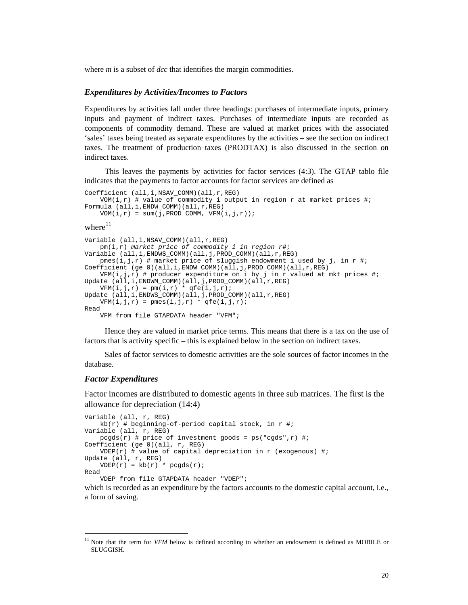where *m* is a subset of *dcc* that identifies the margin commodities.

#### *Expenditures by Activities/Incomes to Factors*

Expenditures by activities fall under three headings: purchases of intermediate inputs, primary inputs and payment of indirect taxes. Purchases of intermediate inputs are recorded as components of commodity demand. These are valued at market prices with the associated 'sales' taxes being treated as separate expenditures by the activities – see the section on indirect taxes. The treatment of production taxes (PRODTAX) is also discussed in the section on indirect taxes.

This leaves the payments by activities for factor services (4:3). The GTAP tablo file indicates that the payments to factor accounts for factor services are defined as

```
Coefficient (all,i,NSAV_COMM)(all,r,REG) 
   VOM(i,r) # value of commodity i output in region r at market prices #;
Formula (all,i,ENDW_COMM)(all,r,REG) 
   VOM(i,r) = sum(j, PROD_COMM, VFM(i,j,r));
```
where $11$ 

```
Variable (all,i,NSAV_COMM)(all,r,REG) 
    pm(i,r) market price of commodity i in region r#; 
Variable (all,i,ENDWS_COMM)(all,j,PROD_COMM)(all,r,REG) 
    pmes(i,j,r) # market price of sluggish endowment i used by j, in r #;
Coefficient (ge 0)(all,i,ENDW_COMM)(all,j,PROD_COMM)(all,r,REG) 
   VFM(i,j,r) # producer expenditure on i by j in r valued at mkt prices #;
Update (all,i,ENDWM_COMM)(all,j,PROD_COMM)(all,r,REG) 
   VFM(i,j,r) = pm(i,r) * qfe(i,j,r);Update (all,i,ENDWS_COMM)(all,j,PROD_COMM)(all,r,REG) 
VFM(i,j,r) = pmes(i,j,r) * qfe(i,j,r);Read 
     VFM from file GTAPDATA header "VFM";
```
Hence they are valued in market price terms. This means that there is a tax on the use of factors that is activity specific – this is explained below in the section on indirect taxes.

Sales of factor services to domestic activities are the sole sources of factor incomes in the database.

#### *Factor Expenditures*

 $\overline{a}$ 

Factor incomes are distributed to domestic agents in three sub matrices. The first is the allowance for depreciation (14:4)

```
Variable (all, r, REG) 
    kb(r) # beginning-of-period capital stock, in r #;
Variable (all, r, REG) 
    pcgds(r) # price of investment goods = ps("cgds", r) #;
Coefficient (ge 0)(all, r, REG) 
    VDEF(r) # value of capital depreciation in r (exogenous) #;
Update (all, r, REG) 
    VDEF(r) = kb(r) * pcgds(r);Read 
     VDEP from file GTAPDATA header "VDEP";
```
which is recorded as an expenditure by the factors accounts to the domestic capital account, i.e., a form of saving.

Note that the term for *VFM* below is defined according to whether an endowment is defined as MOBILE or SLUGGISH.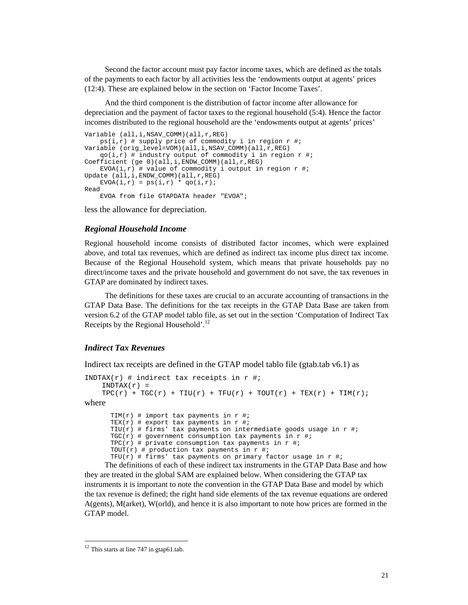Second the factor account must pay factor income taxes, which are defined as the totals of the payments to each factor by all activities less the 'endowments output at agents' prices (12:4). These are explained below in the section on 'Factor Income Taxes'.

And the third component is the distribution of factor income after allowance for depreciation and the payment of factor taxes to the regional household (5:4). Hence the factor incomes distributed to the regional household are the 'endowments output at agents' prices'

```
Variable (all,i,NSAV_COMM)(all,r,REG) 
 ps(i,r) # supply price of commodity i in region r #; 
Variable (orig_level=VOM)(all,i,NSAV_COMM)(all,r,REG) 
   qo(i,r) # industry output of commodity i in region r #;
Coefficient (ge 0)(all,i,ENDW_COMM)(all,r,REG) 
   EVOA(i,r) # value of commodity i output in region r #;
Update (all,i,ENDW_COMM)(all,r,REG) 
   EVOA(i, r) = ps(i, r) * qo(i, r);Read 
     EVOA from file GTAPDATA header "EVOA";
```
less the allowance for depreciation.

#### *Regional Household Income*

Regional household income consists of distributed factor incomes, which were explained above, and total tax revenues, which are defined as indirect tax income plus direct tax income. Because of the Regional Household system, which means that private households pay no direct/income taxes and the private household and government do not save, the tax revenues in GTAP are dominated by indirect taxes.

The definitions for these taxes are crucial to an accurate accounting of transactions in the GTAP Data Base. The definitions for the tax receipts in the GTAP Data Base are taken from version 6.2 of the GTAP model tablo file, as set out in the section 'Computation of Indirect Tax Receipts by the Regional Household'.<sup>12</sup>

#### *Indirect Tax Revenues*

Indirect tax receipts are defined in the GTAP model tablo file (gtab.tab v6.1) as

```
INDTAX(r) # indirect tax receipts in r #;
    INDTAX(r) =TPC(r) + TGC(r) + TIU(r) + TFU(r) + TOUT(r) + TEX(r) + TIM(r);
where 
      TIM(r) # import tax payments in r #;
      TEX(r) # export tax payments in r #;
      TIU(r) # firms' tax payments on intermediate goods usage in r \#;
      TGC(r) # government consumption tax payments in r #;
      TPC(r) # private consumption tax payments in r #;
      TOUT(r) # production tax payments in r #;
      TFU(r) # firms' tax payments on primary factor usage in r \#;
```
The definitions of each of these indirect tax instruments in the GTAP Data Base and how they are treated in the global SAM are explained below. When considering the GTAP tax instruments it is important to note the convention in the GTAP Data Base and model by which the tax revenue is defined; the right hand side elements of the tax revenue equations are ordered A(gents), M(arket), W(orld), and hence it is also important to note how prices are formed in the GTAP model.

 $\overline{a}$ 

 $12$  This starts at line 747 in gtap61.tab.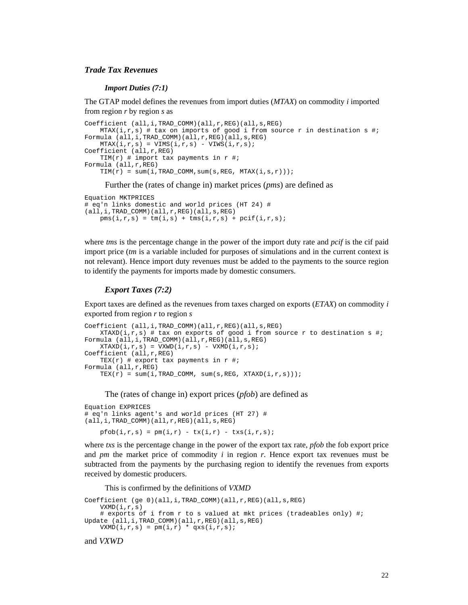## *Trade Tax Revenues*

*Import Duties (7:1)* 

The GTAP model defines the revenues from import duties (*MTAX*) on commodity *i* imported from region *r* by region *s* as

```
Coefficient (all,i,TRAD_COMM)(all,r,REG)(all,s,REG) 
    MTAX(i,r,s) # tax on imports of good i from source r in destination s #;
Formula (all,i,TRAD_COMM)(all,r,REG)(all,s,REG) 
    \texttt{MTAX}(i,r,s) = \texttt{VIMS}(i,r,s) - \texttt{VINS}(i,r,s) \texttt{;}Coefficient (all,r,REG) 
    TIM(r) # import tax payments in r \#;
Formula (all,r,REG) 
    TIM(r) = sum(i, TRAD_COMM, sum(s, REG, MTAX(i,s,r)));
```
Further the (rates of change in) market prices (*pms*) are defined as

```
Equation MKTPRICES 
# eq'n links domestic and world prices (HT 24) # 
(all,i,TRAD_COMM)(all,r,REG)(all,s,REG) 
   pms(i,r,s) = tm(i,s) + tmsi(i,r,s) + pcif(i,r,s);
```
where *tms* is the percentage change in the power of the import duty rate and *pcif* is the cif paid import price (*tm* is a variable included for purposes of simulations and in the current context is not relevant). Hence import duty revenues must be added to the payments to the source region to identify the payments for imports made by domestic consumers.

#### *Export Taxes (7:2)*

Export taxes are defined as the revenues from taxes charged on exports (*ETAX*) on commodity *i* exported from region *r* to region *s*

```
Coefficient (all,i,TRAD_COMM)(all,r,REG)(all,s,REG) 
   XTAND(i,r,s) # tax on exports of good i from source r to destination s #;
Formula (all,i,TRAD_COMM)(all,r,REG)(all,s,REG) 
   XTAXD(i,r,s) = VXWD(i,r,s) - VXMD(i,r,s);Coefficient (all,r,REG) 
   TEX(r) # export tax payments in r \#;
Formula (all,r,REG) 
   TEX(r) = sum(i,TRAD_COMM, sum(s,REG, XTAXD(i,r,s)));
```
The (rates of change in) export prices (*pfob*) are defined as

```
Equation EXPRICES 
# eq'n links agent's and world prices (HT 27) # 
(all,i,TRAD_COMM)(all,r,REG)(all,s,REG) 
    pfob(i,r,s) = pm(i,r) - tx(i,r) - tx(s(i,r,s);
```
where *txs* is the percentage change in the power of the export tax rate, *pfob* the fob export price and *pm* the market price of commodity *i* in region *r*. Hence export tax revenues must be subtracted from the payments by the purchasing region to identify the revenues from exports received by domestic producers.

This is confirmed by the definitions of *VXMD*

```
Coefficient (ge 0)(all,i,TRAD_COMM)(all,r,REG)(all,s,REG) 
    VXMD(i,r,s) 
    # exports of i from r to s valued at mkt prices (tradeables only) #;
Update (all,i,TRAD COMM)(all,r,REG)(all,s,REG)
   VXMD(i,r,s) = pm(i,r) * qxs(i,r,s);
```
and *VXWD*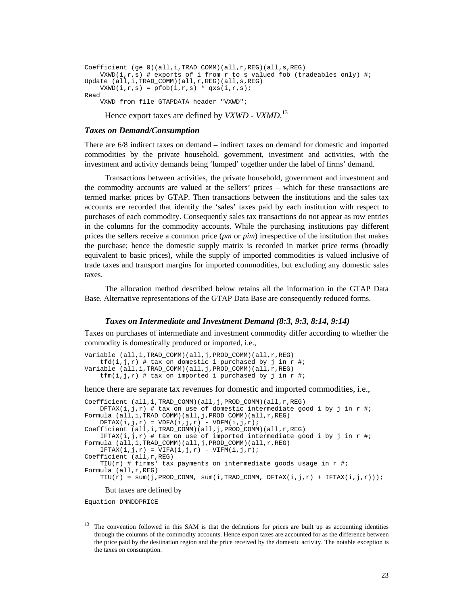```
Coefficient (ge 0)(all,i,TRAD_COMM)(all,r,REG)(all,s,REG) 
   VXWD(i,r,s) # exports of i from r to s valued fob (tradeables only) #;
Update (all,i,TRAD_COMM)(all,r,REG)(all,s,REG) 
   VXWD(i,r,s) = pfob(i,r,s) * qxs(i,r,s);Read 
     VXWD from file GTAPDATA header "VXWD";
```
Hence export taxes are defined by *VXWD - VXMD*. 13

### *Taxes on Demand/Consumption*

There are 6/8 indirect taxes on demand – indirect taxes on demand for domestic and imported commodities by the private household, government, investment and activities, with the investment and activity demands being 'lumped' together under the label of firms' demand.

Transactions between activities, the private household, government and investment and the commodity accounts are valued at the sellers' prices – which for these transactions are termed market prices by GTAP. Then transactions between the institutions and the sales tax accounts are recorded that identify the 'sales' taxes paid by each institution with respect to purchases of each commodity. Consequently sales tax transactions do not appear as row entries in the columns for the commodity accounts. While the purchasing institutions pay different prices the sellers receive a common price (*pm* or *pim*) irrespective of the institution that makes the purchase; hence the domestic supply matrix is recorded in market price terms (broadly equivalent to basic prices), while the supply of imported commodities is valued inclusive of trade taxes and transport margins for imported commodities, but excluding any domestic sales taxes.

The allocation method described below retains all the information in the GTAP Data Base. Alternative representations of the GTAP Data Base are consequently reduced forms.

#### *Taxes on Intermediate and Investment Demand (8:3, 9:3, 8:14, 9:14)*

Taxes on purchases of intermediate and investment commodity differ according to whether the commodity is domestically produced or imported, i.e.,

```
Variable (all,i,TRAD_COMM)(all,j,PROD_COMM)(all,r,REG) 
    tfd(i,j,r) # tax on domestic i purchased by j in r #;
Variable (all,i,TRAD_COMM)(all,j,PROD_COMM)(all,r,REG) 
    tfm(i,j,r) # tax on imported i purchased by j in r #;
```
hence there are separate tax revenues for domestic and imported commodities, i.e.,

```
Coefficient (all,i,TRAD_COMM)(all,j,PROD_COMM)(all,r,REG) 
    DFTAX(i,j,r) # tax on use of domestic intermediate good i by j in r #;
Formula (all,i,TRAD_COMM)(all,j,PROD_COMM)(all,r,REG) 
    DFTAX(i,j,r) = VDFA(i,j,r) - VDFM(i,j,r);Coefficient (all,i,TRAD_COMM)(all,j,PROD_COMM)(all,r,REG) 
    IFTAX(i,j,r) # tax on use of imported intermediate good i by j in r #;
Formula (all,i,TRAD_COMM)(all,j,PROD_COMM)(all,r,REG) 
    \texttt{IFTAX}(\texttt{i},\texttt{j},\texttt{r}) \texttt{ = } \texttt{VIFA}(\texttt{i},\texttt{j},\texttt{r}) \texttt{ - } \texttt{VIFM}(\texttt{i},\texttt{j},\texttt{r})\texttt{;}Coefficient (all,r,REG) 
    TIU(r) # firms' tax payments on intermediate goods usage in r #;
Formula (all,r,REG) 
    TIU(r) = sum(j, PROD_COMM, sum(i, TRAD_COMM, DFTAX(i,j,r) + IFTAX(i,j,r)));
```
But taxes are defined by

Equation DMNDDPRICE

<sup>13</sup> The convention followed in this SAM is that the definitions for prices are built up as accounting identities through the columns of the commodity accounts. Hence export taxes are accounted for as the difference between the price paid by the destination region and the price received by the domestic activity. The notable exception is the taxes on consumption.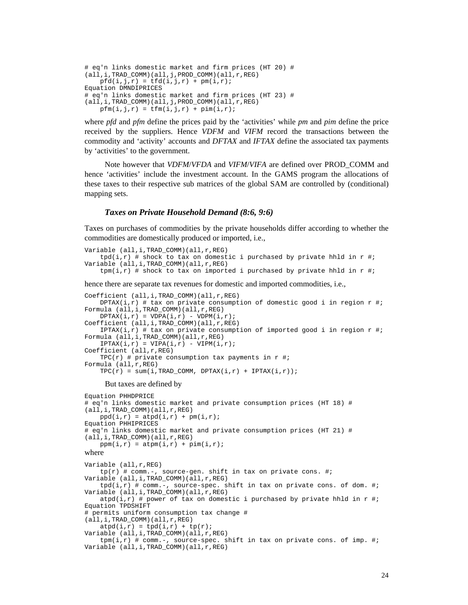```
# eq'n links domestic market and firm prices (HT 20) # 
(all,i,TRAD_COMM)(all,j,PROD_COMM)(all,r,REG) 
   pfd(i,j,r) = tfd(i,j,r) + pm(i,r);Equation DMNDIPRICES 
# eq'n links domestic market and firm prices (HT 23) # 
(all,i,TRAD_COMM)(all,j,PROD_COMM)(all,r,REG) 
   pfm(i,j,r) = tfm(i,j,r) + pim(i,r);
```
where *pfd* and *pfm* define the prices paid by the 'activities' while *pm* and *pim* define the price received by the suppliers. Hence *VDFM* and *VIFM* record the transactions between the commodity and 'activity' accounts and *DFTAX* and *IFTAX* define the associated tax payments by 'activities' to the government.

Note however that *VDFM*/*VFDA* and *VIFM*/*VIFA* are defined over PROD\_COMM and hence 'activities' include the investment account. In the GAMS program the allocations of these taxes to their respective sub matrices of the global SAM are controlled by (conditional) mapping sets.

### *Taxes on Private Household Demand (8:6, 9:6)*

Taxes on purchases of commodities by the private households differ according to whether the commodities are domestically produced or imported, i.e.,

```
Variable (all,i,TRAD_COMM)(all,r,REG) 
    tpd(i,r) # shock to tax on domestic i purchased by private hhld in r #;
Variable (all,i,TRAD_COMM)(all,r,REG) 
    tpm(i,r) # shock to tax on imported i purchased by private hhld in r \#;
```
hence there are separate tax revenues for domestic and imported commodities, i.e.,

```
Coefficient (all,i,TRAD_COMM)(all,r,REG) 
   DPTAX(i,r) # tax on private consumption of domestic good i in region r #;
Formula (all,i,TRAD_COMM)(all,r,REG) 
   DPTAX(i,r) = VDPA(i,r) - VDPM(i,r);Coefficient (all,i,TRAD_COMM)(all,r,REG) 
   IPTAX(i,r) # tax on private consumption of imported good i in region r \#;
Formula (all,i,TRAD_COMM)(all,r,REG) 
   IPTAX(i,r) = VIPA(i,r) - VIPM(i,r);Coefficient (all,r,REG) 
   TPC(r) # private consumption tax payments in r #;
Formula (all,r,REG) 
   TPC(r) = sum(i, TRAD_COMM, DPTAX(i, r) + IPTAX(i, r));But taxes are defined by 
Equation PHHDPRICE 
# eq'n links domestic market and private consumption prices (HT 18) # 
(all,i,TRAD_COMM)(all,r,REG) 
   ppd(i,r) = atpd(i,r) + pm(i,r);Equation PHHIPRICES 
# eq'n links domestic market and private consumption prices (HT 21) # 
(all,i,TRAD_COMM)(all,r,REG) 
   ppm(i,r) = atpm(i,r) + pim(i,r);where 
Variable (all,r,REG) 
    tp(r) # comm.-, source-gen. shift in tax on private cons. #;
Variable (all,i,TRAD_COMM)(all,r,REG) 
    tpd(i,r) # comm.-, source-spec. shift in tax on private cons. of dom. #;
Variable (all,i,TRAD_COMM)(all,r,REG) 
   atpd(i,r) # power of tax on domestic i purchased by private hhld in r \#;
Equation TPDSHIFT 
# permits uniform consumption tax change # 
(all,i,TRAD_COMM)(all,r,REG) 
   atpd(i,r) = tpd(i,r) + tp(r);Variable (all,i,TRAD_COMM)(all,r,REG) 
    tpm(i,r) # comm.-, source-spec. shift in tax on private cons. of imp. #;
Variable (all, i, TRAD_COMM)(all, r, REG)
```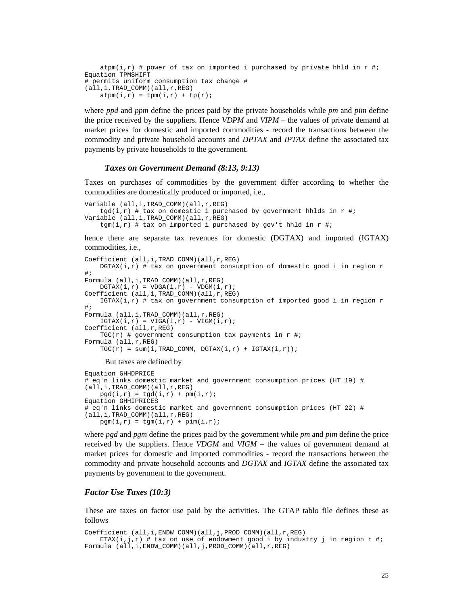```
atpm(i,r) # power of tax on imported i purchased by private hhld in r \#iEquation TPMSHIFT 
# permits uniform consumption tax change # 
(all,i,TRAD_COMM)(all,r,REG) 
   atpm(i,r) = tpm(i,r) + tp(r);
```
where *ppd* and *ppm* define the prices paid by the private households while *pm* and *pim* define the price received by the suppliers. Hence *VDPM* and *VIPM* – the values of private demand at market prices for domestic and imported commodities - record the transactions between the commodity and private household accounts and *DPTAX* and *IPTAX* define the associated tax payments by private households to the government.

#### *Taxes on Government Demand (8:13, 9:13)*

Taxes on purchases of commodities by the government differ according to whether the commodities are domestically produced or imported, i.e.,

```
Variable (all,i,TRAD_COMM)(all,r,REG) 
    tgd(i,r) # tax on domestic i purchased by government hhlds in r \#iVariable (all,i,TRAD_COMM)(all,r,REG) 
    tgm(i,r) # tax on imported i purchased by gov't hhld in r #;
```
hence there are separate tax revenues for domestic (DGTAX) and imported (IGTAX) commodities, i.e.,

```
Coefficient (all,i,TRAD_COMM)(all,r,REG) 
   DGTAX(i,r) # tax on government consumption of domestic good i in region r#; 
Formula (all,i,TRAD_COMM)(all,r,REG) 
   DGTAX(i,r) = VDGA(i,r) - VDGM(i,r);Coefficient (all,i,TRAD_COMM)(all,r,REG) 
   IGTAX(i,r) # tax on government consumption of imported good i in region r#; 
Formula (all,i,TRAD_COMM)(all,r,REG) 
   IGTAX(i,r) = VIGA(i,r) - VIGM(i,r);Coefficient (all,r,REG) 
   TGC(r) # government consumption tax payments in r \#;
Formula (all,r,REG) 
   TGC(r) = sum(i, TRAD_COMM, DGTAX(i,r) + IGTAX(i,r));But taxes are defined by
```

```
Equation GHHDPRICE 
# eq'n links domestic market and government consumption prices (HT 19) # 
(all,i,TRAD_COMM)(all,r,REG) 
   pgd(i,r) = tgd(i,r) + pm(i,r);Equation GHHIPRICES 
# eq'n links domestic market and government consumption prices (HT 22) # 
(all,i,TRAD_COMM)(all,r,REG) 
    pgm(i,r) = tgm(i,r) + pim(i,r);
```
where *pgd* and *pgm* define the prices paid by the government while *pm* and *pim* define the price received by the suppliers. Hence *VDGM* and *VIGM* – the values of government demand at market prices for domestic and imported commodities - record the transactions between the commodity and private household accounts and *DGTAX* and *IGTAX* define the associated tax payments by government to the government.

#### *Factor Use Taxes (10:3)*

These are taxes on factor use paid by the activities. The GTAP tablo file defines these as follows

```
Coefficient (all,i,ENDW COMM)(all,j,PROD COMM)(all,r,REG)
   ETAX(i,j,r) # tax on use of endowment good i by industry j in region r \#;
Formula (all,i,ENDW_COMM)(all,j,PROD_COMM)(all,r,REG)
```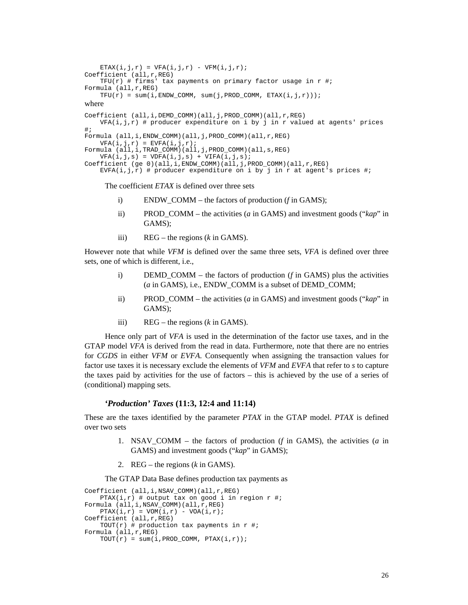```
ETAX(i, j, r) = VFA(i, j, r) - VFM(i, j, r);
Coefficient (all,r,REG) 
     TFU(r) # firms' tax payments on primary factor usage in r \#;
Formula (all,r,REG) 
    \begin{array}{lcl} \mathsf{TFU}(r) & = & \mathsf{sum}(\mathtt{i},\mathtt{ENDW\_COMM}, ~\mathsf{sum}(\mathtt{j},\mathtt{PROD\_COMM}, ~\mathtt{ETAX}(\mathtt{i},\mathtt{j},r))\text{)}\text{;} \end{array}where 
Coefficient (all,i,DEMD_COMM)(all,j,PROD_COMM)(all,r,REG) 
     VFA(i,j,r) # producer expenditure on i by j in r valued at agents' prices
#; 
Formula (all,i,ENDW_COMM)(all,j,PROD_COMM)(all,r,REG) 
     VFA(i,j,r) = EVFA(i,j,r);Formula (all,i,TRAD_COMM)(all,j,PROD_COMM)(all,s,REG) 
     VFA(i,j,s) = VDFA(i,j,s) + VIFA(i,j,s);Coefficient (ge 0)(all,i,ENDW_COMM)(all,j,PROD_COMM)(all,r,REG) 
     EVFA(i,j,r) # producer expenditure on i by j in r at agent's prices #;
```
The coefficient *ETAX* is defined over three sets

- i) ENDW\_COMM the factors of production (*f* in GAMS);
- ii) PROD\_COMM the activities (*a* in GAMS) and investment goods ("*kap*" in GAMS);
- iii) REG the regions (*k* in GAMS).

However note that while *VFM* is defined over the same three sets, *VFA* is defined over three sets, one of which is different, i.e.,

- i) DEMD COMM the factors of production  $(f$  in GAMS) plus the activities (*a* in GAMS), i.e., ENDW\_COMM is a subset of DEMD\_COMM;
- ii) PROD\_COMM the activities (*a* in GAMS) and investment goods ("*kap*" in GAMS);
- iii) REG the regions (*k* in GAMS).

Hence only part of *VFA* is used in the determination of the factor use taxes, and in the GTAP model *VFA* is derived from the read in data. Furthermore, note that there are no entries for *CGDS* in either *VFM* or *EVFA*. Consequently when assigning the transaction values for factor use taxes it is necessary exclude the elements of *VFM* and *EVFA* that refer to *s* to capture the taxes paid by activities for the use of factors – this is achieved by the use of a series of (conditional) mapping sets.

## *'Production' Taxes* **(11:3, 12:4 and 11:14)**

These are the taxes identified by the parameter *PTAX* in the GTAP model. *PTAX* is defined over two sets

- 1. NSAV\_COMM the factors of production (*f* in GAMS), the activities (*a* in GAMS) and investment goods ("*kap*" in GAMS);
- 2. REG the regions (*k* in GAMS).

The GTAP Data Base defines production tax payments as

```
Coefficient (all,i,NSAV COMM)(all,r,REG)
    PTAX(i,r) # output tax on good i in region r #;
Formula (all, i, NSAV_COMM)(all, r, REG)
    PTAX(i, r) = VOM(i, r) - VOA(i, r);Coefficient (all,r,REG) 
   TOUT(r) # production tax payments in r #;
Formula (all,r,REG) 
   TOUT(r) = sum(i, PROD COMM, PTAX(i, r));
```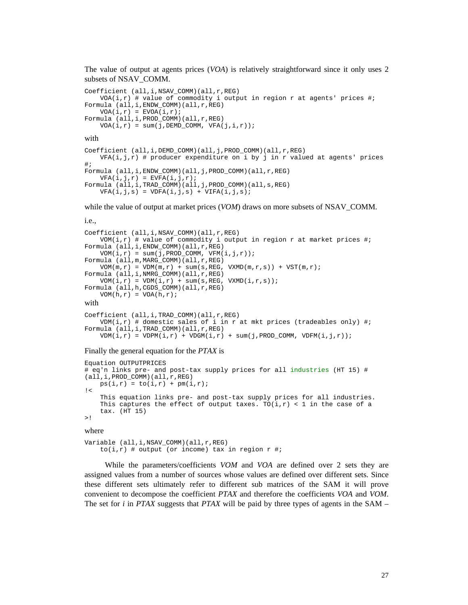The value of output at agents prices (*VOA*) is relatively straightforward since it only uses 2 subsets of NSAV\_COMM.

```
Coefficient (all,i,NSAV_COMM)(all,r,REG) 
   VOA(i, r) # value of commodity i output in region r at agents' prices #;
Formula (all,i,ENDW_COMM)(all,r,REG) 
   VOA(i,r) = EVOA(i,r);Formula (all,i,PROD_COMM)(all,r,REG) 
   VOA(i,r) = sum(j, DEMD_COMM, VFA(j,i,r));with 
Coefficient (all,i,DEMD_COMM)(all,j,PROD_COMM)(all,r,REG) 
   VFA(i,j,r) # producer expenditure on i by j in r valued at agents' prices
#; 
Formula (all,i,ENDW_COMM)(all,j,PROD_COMM)(all,r,REG) 
   VFA(i,j,r) = EVFA(i,j,r);Formula (all,i,TRAD_COMM)(all,j,PROD_COMM)(all,s,REG) 
   VFA(i,j,s) = VDFA(i,j,s) + VIFA(i,j,s);
```
while the value of output at market prices (*VOM*) draws on more subsets of NSAV COMM.

```
i.e., 
Coefficient (all,i,NSAV_COMM)(all,r,REG) 
    VOM(i,r) # value of commodity i output in region r at market prices #;
Formula (all, i, ENDW_COMM)(all, r, REG)
    VOM(i,r) = sum(j, PROD_COMM, VFM(i,j,r));Formula (all,m,MARG_COMM)(all,r,REG) 
    VOM(m,r) = VDM(m,r) + sum(s, REG, VXMD(m,r,s)) + VST(m,r);Formula (all,i,NMRG_COMM)(all,r,REG) 
    \texttt{VOM}(i,r) = \texttt{VDM}(i,r) + \texttt{sum}(\texttt{s},\texttt{REG},\texttt{VXMD}(i,r,\texttt{s}));Formula (all,h,CGDS_COMM)(all,r,REG) 
    \texttt{VOM}(h,r) = \texttt{VOA}(h,r) \, ;with 
Coefficient (all,i,TRAD_COMM)(all,r,REG)
```

```
VDM(i,r) # domestic sales of i in r at mkt prices (tradeables only) #;
Formula (all,i,TRAD_COMM)(all,r,REG) 
   VDM(i,r) = VDPM(i,r) + VDGM(i,r) + sum(j, PROD\_COMM, VDFM(i,j,r));
```
#### Finally the general equation for the *PTAX* is

```
Equation OUTPUTPRICES 
# eq'n links pre- and post-tax supply prices for all industries (HT 15) # 
(all,i,PROD_COMM)(all,r,REG) 
   ps(i,r) = to(i,r) + pm(i,r);\mathbf{1} This equation links pre- and post-tax supply prices for all industries. 
    This captures the effect of output taxes. TO(i, r) < 1 in the case of a
     tax. (HT 15) 
>!
```
where

```
Variable (all,i,NSAV_COMM)(all,r,REG) 
    to(i,r) # output (or income) tax in region r #;
```
While the parameters/coefficients *VOM* and *VOA* are defined over 2 sets they are assigned values from a number of sources whose values are defined over different sets. Since these different sets ultimately refer to different sub matrices of the SAM it will prove convenient to decompose the coefficient *PTAX* and therefore the coefficients *VOA* and *VOM*. The set for *i* in *PTAX* suggests that *PTAX* will be paid by three types of agents in the SAM –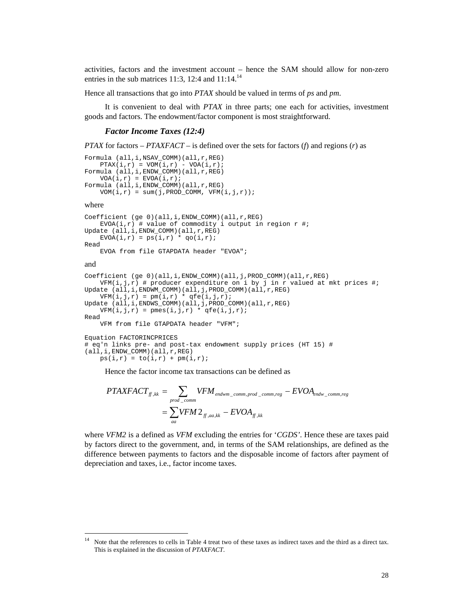activities, factors and the investment account – hence the SAM should allow for non-zero entries in the sub matrices 11:3, 12:4 and  $11:14.^{14}$ 

Hence all transactions that go into *PTAX* should be valued in terms of *ps* and *pm*.

It is convenient to deal with *PTAX* in three parts; one each for activities, investment goods and factors. The endowment/factor component is most straightforward.

#### *Factor Income Taxes (12:4)*

```
PTAX for factors – PTAXFACT – is defined over the sets for factors (f) and regions (r) as
```

```
Formula (all,i,NSAV_COMM)(all,r,REG) 
    PTAX(i,r) = VOM(i,r) - VOA(i,r);Formula (all,i,ENDW_COMM)(all,r,REG) 
    VOA(i,r) = EVOA(i,r);Formula (all,i,ENDW_COMM)(all,r,REG) 
   VOM(i,r) = sum(j, PROD\_COMM, VFM(i,j,r));where 
Coefficient (ge 0)(all,i,ENDW_COMM)(all,r,REG) 
    EVOA(i,r) # value of commodity i output in region r #;
Update (all,i,ENDW_COMM)(all,r,REG) 
    EVOA(i, r) = ps(i, r) * qo(i, r);Read 
     EVOA from file GTAPDATA header "EVOA"; 
and 
Coefficient (ge 0)(all,i,ENDW_COMM)(all,j,PROD_COMM)(all,r,REG) 
    VFM(i,j,r) # producer expenditure on i by j in r valued at mkt prices #;
Update (all,i,ENDWM_COMM)(all,j,PROD_COMM)(all,r,REG) 
   \texttt{VFM}(i,j,r) = pm(i,r) * qfe(i,j,r);Update (all,i,ENDWS_COMM)(all,j,PROD_COMM)(all,r,REG) 
VFM(i,j,r) = pmes(i,j,r) * qfe(i,j,r);Read 
     VFM from file GTAPDATA header "VFM"; 
Equation FACTORINCPRICES 
# eq'n links pre- and post-tax endowment supply prices (HT 15) #
```

```
(al1, i, ENDW_COMM)(all,r,REG)ps(i,r) = to(i,r) + pm(i,r);
```
 $\overline{\phantom{a}}$ 

Hence the factor income tax transactions can be defined as

$$
PTAXFACT_{ff,kk} = \sum_{prod\_comm} VFM_{endwm\_comm,prod\_comm,reg} - EVOA_{endw\_comm,reg}
$$

$$
= \sum_{aa} VFM 2_{ff,aa,kk} - EVOA_{ff,kk}
$$

where *VFM2* is a defined as *VFM* excluding the entries for '*CGDS'*. Hence these are taxes paid by factors direct to the government, and, in terms of the SAM relationships, are defined as the difference between payments to factors and the disposable income of factors after payment of depreciation and taxes, i.e., factor income taxes.

<sup>&</sup>lt;sup>14</sup> Note that the references to cells in Table 4 treat two of these taxes as indirect taxes and the third as a direct tax. This is explained in the discussion of *PTAXFACT*.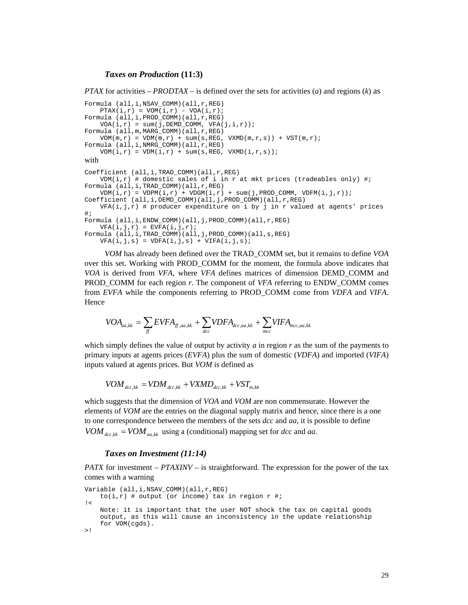#### *Taxes on Production* **(11:3)**

*PTAX* for activities – *PRODTAX* – is defined over the sets for activities (*a*) and regions (*k*) as

```
Formula (all, i, NSAV_COMM)(all, r, REG)
    PTAX(i, r) = VOM(i, r) - VOA(i, r);Formula (all, i, PROD COMM)(all, r, REG)
    VOA(i, r) = sum(j, DEMD_COMM, VFA(j, i, r));Formula (all,m,MARG_COMM)(all,r,REG) 
    VOM(m,r) = VDM(m,r) + sum(s, REG, VXMD(m,r,s)) + VST(m,r);Formula (all,i,NMRG_COMM)(all,r,REG) 
   VOM(i,r) = VDM(i,r) + sum(s, REG, VXMD(i,r,s));with 
Coefficient (all,i,TRAD_COMM)(all,r,REG) 
    VDM(i, r) # domestic sales of i in r at mkt prices (tradeables only) #;
Formula (all,i,TRAD_COMM)(all,r,REG) 
    VDM(i,r) = VDPM(i,r) + VDGM(i,r) + sum(j, PROD_COMM, VDFM(i,j,r));Coefficient (all,i,DEMD_COMM)(all,j,PROD_COMM)(all,r,REG) 
    VFA(i,j,r) # producer expenditure on i by j in r valued at agents' prices
#; 
Formula (all,i,ENDW_COMM)(all,j,PROD_COMM)(all,r,REG) 
    VFA(i,j,r) = EVFA(i,j,r);Formula (all,i,TRAD_COMM)(all,j,PROD_COMM)(all,s,REG) 
    VFA(i,j,s) = VDFA(i,j,s) + VIFA(i,j,s);
```
*VOM* has already been defined over the TRAD\_COMM set, but it remains to define *VOA* over this set. Working with PROD\_COMM for the moment, the formula above indicates that *VOA* is derived from *VFA*, where *VFA* defines matrices of dimension DEMD\_COMM and PROD\_COMM for each region *r*. The component of *VFA* referring to ENDW\_COMM comes from *EVFA* while the components referring to PROD\_COMM come from *VDFA* and *VIFA*. Hence

$$
VOA_{aa,kk} = \sum_{ff} EVFA_{ff,aa,kk} + \sum_{dcc} VDFA_{dcc,aa,kk} + \sum_{mcc} VIFA_{mcc,aa,kk}
$$

which simply defines the value of output by activity *a* in region *r* as the sum of the payments to primary inputs at agents prices (*EVFA*) plus the sum of domestic (*VDFA*) and imported (*VIFA*) inputs valued at agents prices. But *VOM* is defined as

 $VOM_{\text{acc},kk} = VDM_{\text{acc},kk} + VXMD_{\text{acc},kk} + VST_{\text{m},kk}$ 

which suggests that the dimension of *VOA* and *VOM* are non commensurate. However the elements of *VOM* are the entries on the diagonal supply matrix and hence, since there is a one to one correspondence between the members of the sets *dcc* and *aa*, it is possible to define  $VOM_{\text{acc},kk} = VOM_{\text{g}}$  using a (conditional) mapping set for *dcc* and *aa*.

#### *Taxes on Investment (11:14)*

*PATX* for investment – *PTAXINV* – is straightforward. The expression for the power of the tax comes with a warning

```
Variable (all,i,NSAV_COMM)(all,r,REG) 
    to(i,r) # output (or income) tax in region r #;
| Note: it is important that the user NOT shock the tax on capital goods 
    output, as this will cause an inconsistency in the update relationship 
     for VOM(cgds). 
>!
```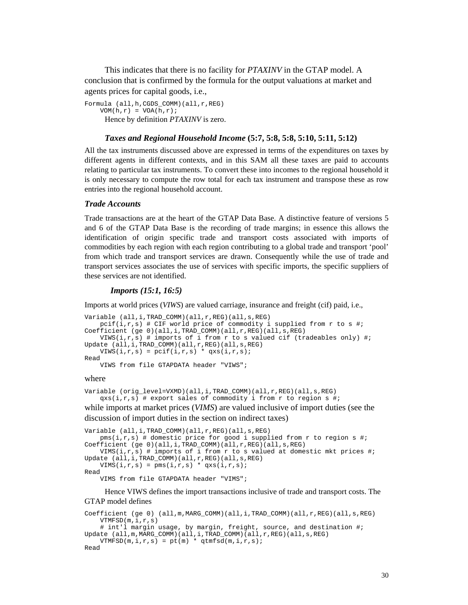This indicates that there is no facility for *PTAXINV* in the GTAP model. A conclusion that is confirmed by the formula for the output valuations at market and agents prices for capital goods, i.e.,

Formula (all,h,CGDS\_COMM)(all,r,REG)  $VOM(h,r) = VOA(h,r);$ Hence by definition *PTAXINV* is zero.

#### *Taxes and Regional Household Income* **(5:7, 5:8, 5:8, 5:10, 5:11, 5:12)**

All the tax instruments discussed above are expressed in terms of the expenditures on taxes by different agents in different contexts, and in this SAM all these taxes are paid to accounts relating to particular tax instruments. To convert these into incomes to the regional household it is only necessary to compute the row total for each tax instrument and transpose these as row entries into the regional household account.

#### *Trade Accounts*

Trade transactions are at the heart of the GTAP Data Base. A distinctive feature of versions 5 and 6 of the GTAP Data Base is the recording of trade margins; in essence this allows the identification of origin specific trade and transport costs associated with imports of commodities by each region with each region contributing to a global trade and transport 'pool' from which trade and transport services are drawn. Consequently while the use of trade and transport services associates the use of services with specific imports, the specific suppliers of these services are not identified.

## *Imports (15:1, 16:5)*

Imports at world prices (*VIWS*) are valued carriage, insurance and freight (cif) paid, i.e.,

```
Variable (all,i,TRAD_COMM)(all,r,REG)(all,s,REG) 
    pcif(i,r,s) # CIF world price of commodity i supplied from r to s #;
Coefficient (ge 0)(all,i,TRAD_COMM)(all,r,REG)(all,s,REG) 
    VIWS(i,r,s) # imports of i from r to s valued cif (tradeables only) #;
Update (all,i,TRAD_COMM)(all,r,REG)(all,s,REG) 
    VIWS(i,r,s) = \text{pcif}(i,r,s) * qxs(i,r,s);Read 
     VIWS from file GTAPDATA header "VIWS";
```
#### where

```
Variable (orig_level=VXMD)(all,i,TRAD_COMM)(all,r,REG)(all,s,REG) 
     qxs(i,r,s) # export sales of commodity i from r to region s #; 
while imports at market prices (VIMS) are valued inclusive of import duties (see the
```
discussion of import duties in the section on indirect taxes)

```
Variable (all,i,TRAD COMM)(all,r,REG)(all,s,REG)
    pms(i,r,s) # domestic price for good i supplied from r to region s #;
Coefficient (ge 0)(all,i,TRAD COMM)(all,r,REG)(all,s,REG)
    VIMS(i, r, s) # imports of i from r to s valued at domestic mkt prices #;
Update (all,i,TRAD_COMM)(all,r,REG)(all,s,REG) 
    VIMS(i, r, s) = pms(i, r, s) * qxs(i, r, s);
Read 
     VIMS from file GTAPDATA header "VIMS";
```
Hence VIWS defines the import transactions inclusive of trade and transport costs. The GTAP model defines

```
Coefficient (ge 0) (all,m,MARG_COMM)(all,i,TRAD_COMM)(all,r,REG)(all,s,REG) 
   VTMFSD(m,i,r,s) # int'l margin usage, by margin, freight, source, and destination #; 
Update (all,m,MARG_COMM)(all,i,TRAD_COMM)(all,r,REG)(all,s,REG) 
   VTMFSD(m,i,r,s) = pt(m) * qtmfsd(m,i,r,s);Read
```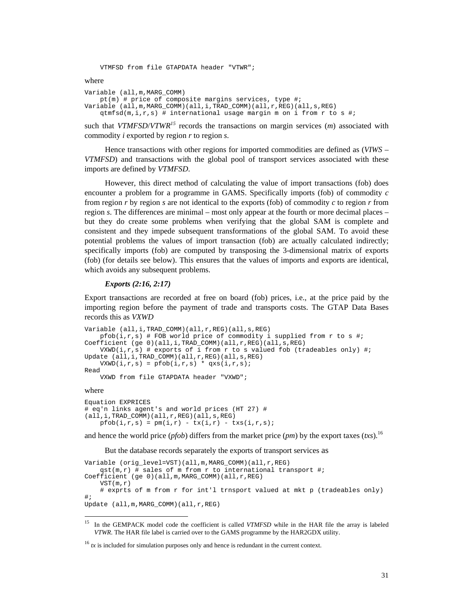VTMFSD from file GTAPDATA header "VTWR";

where

```
Variable (all,m,MARG_COMM) 
    pt(m) # price of composite margins services, type #; 
Variable (all,m,MARG_COMM)(all,i,TRAD_COMM)(all,r,REG)(all,s,REG) 
   qtmfsd(m,i,r,s) # international usage margin m on i from r to s #;
```
such that *VTMFSD*/*VTWR<sup>15</sup>* records the transactions on margin services (*m*) associated with commodity *i* exported by region *r* to region *s*.

Hence transactions with other regions for imported commodities are defined as (*VIWS* – *VTMFSD*) and transactions with the global pool of transport services associated with these imports are defined by *VTMFSD*.

However, this direct method of calculating the value of import transactions (fob) does encounter a problem for a programme in GAMS. Specifically imports (fob) of commodity *c* from region *r* by region *s* are not identical to the exports (fob) of commodity *c* to region *r* from region *s*. The differences are minimal – most only appear at the fourth or more decimal places – but they do create some problems when verifying that the global SAM is complete and consistent and they impede subsequent transformations of the global SAM. To avoid these potential problems the values of import transaction (fob) are actually calculated indirectly; specifically imports (fob) are computed by transposing the 3-dimensional matrix of exports (fob) (for details see below). This ensures that the values of imports and exports are identical, which avoids any subsequent problems.

#### *Exports (2:16, 2:17)*

Export transactions are recorded at free on board (fob) prices, i.e., at the price paid by the importing region before the payment of trade and transports costs. The GTAP Data Bases records this as *VXWD*

```
Variable (all,i,TRAD_COMM)(all,r,REG)(all,s,REG) 
   pfob(i,r,s) # FOB world price of commodity i supplied from r to s #;
Coefficient (ge 0)(all,i,TRAD COMM)(all,r,REG)(all,s,REG)
   VXWD(i,r,s) # exports of i from r to s valued fob (tradeables only) #;
Update (all,i,TRAD_COMM)(all,r,REG)(all,s,REG) 
   VXWD(i,r,s) = pfob(i,r,s) * qxs(i,r,s);Read 
    VXWD from file GTAPDATA header "VXWD";
```
#### where

 $\overline{\phantom{a}}$ 

```
Equation EXPRICES 
# eq'n links agent's and world prices (HT 27) # 
(all,i,TRAD_COMM)(all,r,REG)(all,s,REG) 
    pfob(i,r,s) = pm(i,r) - tx(i,r) - tx(s(i,r,s));
```
and hence the world price (*pfob*) differs from the market price (*pm*) by the export taxes (*txs*).<sup>16</sup>

But the database records separately the exports of transport services as

```
Variable (orig_level=VST)(all,m,MARG_COMM)(all,r,REG) 
    qst(m,r) # sales of m from r to international transport #;
Coefficient (ge 0)(all,m,MARG_COMM)(all,r,REG) 
     VST(m,r) 
     # exprts of m from r for int'l trnsport valued at mkt p (tradeables only) 
#; 
Update (all,m,MARG_COMM)(all,r,REG)
```
<sup>15</sup> In the GEMPACK model code the coefficient is called *VTMFSD* while in the HAR file the array is labeled *VTWR*. The HAR file label is carried over to the GAMS programme by the HAR2GDX utility.

 $16$  tx is included for simulation purposes only and hence is redundant in the current context.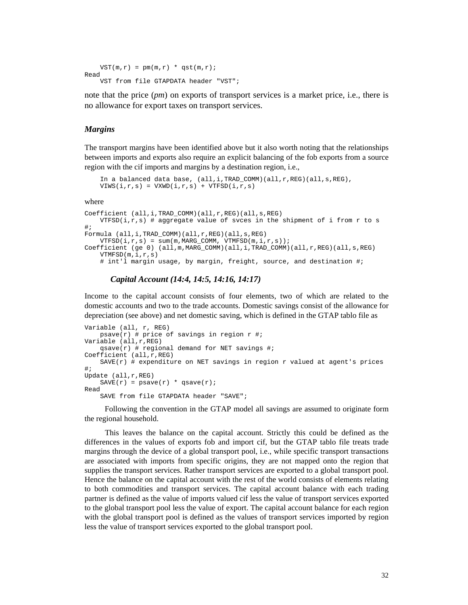```
VST(m,r) = pm(m,r) * qst(m,r);Read 
     VST from file GTAPDATA header "VST";
```
note that the price (*pm*) on exports of transport services is a market price, i.e., there is no allowance for export taxes on transport services.

#### *Margins*

The transport margins have been identified above but it also worth noting that the relationships between imports and exports also require an explicit balancing of the fob exports from a source region with the cif imports and margins by a destination region, i.e.,

```
 In a balanced data base, (all,i,TRAD_COMM)(all,r,REG)(all,s,REG), 
VIWS(i,r,s) = VXWD(i,r,s) + VTFSD(i,r,s)
```
where

```
Coefficient (all,i,TRAD_COMM)(all,r,REG)(all,s,REG) 
   VTFSD(i,r,s) # aggregate value of svces in the shipment of i from r to s
#; 
Formula (all,i,TRAD COMM)(all,r,REG)(all,s,REG)
   VTFSD(i,r,s) = sum(m, MARG_COMM, VTMFSD(m,i,r,s));
Coefficient (ge 0) (all,m,MARG_COMM)(all,i,TRAD_COMM)(all,r,REG)(all,s,REG) 
    VTMFSD(m,i,r,s) 
    # int'l margin usage, by margin, freight, source, and destination #;
```
### *Capital Account (14:4, 14:5, 14:16, 14:17)*

Income to the capital account consists of four elements, two of which are related to the domestic accounts and two to the trade accounts. Domestic savings consist of the allowance for depreciation (see above) and net domestic saving, which is defined in the GTAP tablo file as

```
Variable (all, r, REG) 
    psave(r) # price of savings in region r #;
Variable (all,r,REG) 
    qsave(r) # regional demand for NET savings #;
Coefficient (all,r,REG) 
    SAVE(r) # expenditure on NET savings in region r valued at agent's prices
#; 
Update (all,r,REG) 
    SAVE(r) = psave(r) * qsave(r);Read 
     SAVE from file GTAPDATA header "SAVE";
```
Following the convention in the GTAP model all savings are assumed to originate form the regional household.

This leaves the balance on the capital account. Strictly this could be defined as the differences in the values of exports fob and import cif, but the GTAP tablo file treats trade margins through the device of a global transport pool, i.e., while specific transport transactions are associated with imports from specific origins, they are not mapped onto the region that supplies the transport services. Rather transport services are exported to a global transport pool. Hence the balance on the capital account with the rest of the world consists of elements relating to both commodities and transport services. The capital account balance with each trading partner is defined as the value of imports valued cif less the value of transport services exported to the global transport pool less the value of export. The capital account balance for each region with the global transport pool is defined as the values of transport services imported by region less the value of transport services exported to the global transport pool.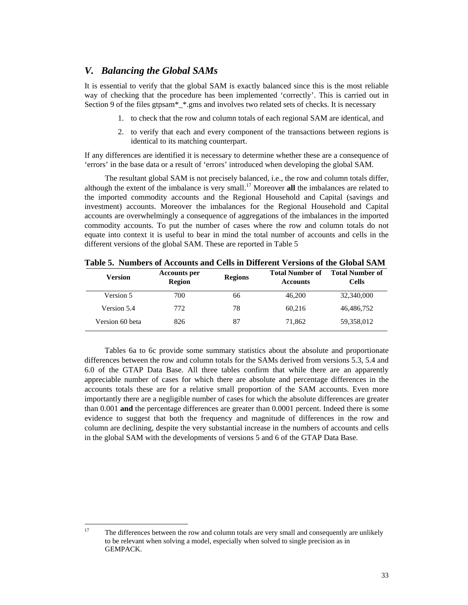# *V. Balancing the Global SAMs*

It is essential to verify that the global SAM is exactly balanced since this is the most reliable way of checking that the procedure has been implemented 'correctly'. This is carried out in Section 9 of the files gtpsam\*\_\*.gms and involves two related sets of checks. It is necessary

- 1. to check that the row and column totals of each regional SAM are identical, and
- 2. to verify that each and every component of the transactions between regions is identical to its matching counterpart.

If any differences are identified it is necessary to determine whether these are a consequence of 'errors' in the base data or a result of 'errors' introduced when developing the global SAM.

The resultant global SAM is not precisely balanced, i.e., the row and column totals differ, although the extent of the imbalance is very small.<sup>17</sup> Moreover **all** the imbalances are related to the imported commodity accounts and the Regional Household and Capital (savings and investment) accounts. Moreover the imbalances for the Regional Household and Capital accounts are overwhelmingly a consequence of aggregations of the imbalances in the imported commodity accounts. To put the number of cases where the row and column totals do not equate into context it is useful to bear in mind the total number of accounts and cells in the different versions of the global SAM. These are reported in Table 5

| <b>Version</b>  | <b>Accounts per</b><br><b>Region</b> | <b>Regions</b> | <b>Total Number of</b><br><b>Accounts</b> | <b>Total Number of</b><br><b>Cells</b> |
|-----------------|--------------------------------------|----------------|-------------------------------------------|----------------------------------------|
| Version 5       | 700                                  | 66             | 46,200                                    | 32,340,000                             |
| Version 5.4     | 772                                  | 78             | 60,216                                    | 46,486,752                             |
| Version 60 beta | 826                                  | 87             | 71,862                                    | 59,358,012                             |

**Table 5. Numbers of Accounts and Cells in Different Versions of the Global SAM** 

Tables 6a to 6c provide some summary statistics about the absolute and proportionate differences between the row and column totals for the SAMs derived from versions 5.3, 5.4 and 6.0 of the GTAP Data Base. All three tables confirm that while there are an apparently appreciable number of cases for which there are absolute and percentage differences in the accounts totals these are for a relative small proportion of the SAM accounts. Even more importantly there are a negligible number of cases for which the absolute differences are greater than 0.001 **and** the percentage differences are greater than 0.0001 percent. Indeed there is some evidence to suggest that both the frequency and magnitude of differences in the row and column are declining, despite the very substantial increase in the numbers of accounts and cells in the global SAM with the developments of versions 5 and 6 of the GTAP Data Base.

 $17$ The differences between the row and column totals are very small and consequently are unlikely to be relevant when solving a model, especially when solved to single precision as in GEMPACK.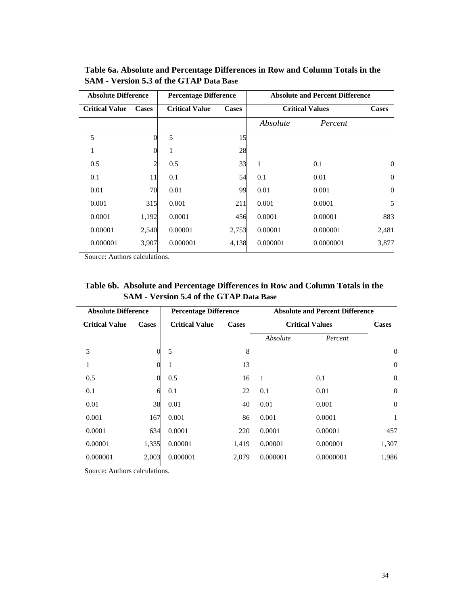| <b>Absolute Difference</b>            |       | <b>Percentage Difference</b> |       | <b>Absolute and Percent Difference</b> |                        |                  |  |  |  |  |
|---------------------------------------|-------|------------------------------|-------|----------------------------------------|------------------------|------------------|--|--|--|--|
| <b>Critical Value</b><br><b>Cases</b> |       | <b>Critical Value</b>        | Cases |                                        | <b>Critical Values</b> | <b>Cases</b>     |  |  |  |  |
|                                       |       |                              |       | Absolute                               | Percent                |                  |  |  |  |  |
| 5                                     |       | 5                            | 15    |                                        |                        |                  |  |  |  |  |
| 1                                     |       | 1                            | 28    |                                        |                        |                  |  |  |  |  |
| 0.5                                   |       | 0.5                          | 33    | $\mathbf{1}$                           | 0.1                    | $\mathbf{0}$     |  |  |  |  |
| 0.1                                   | 11    | 0.1                          | 54    | 0.1                                    | 0.01                   | $\overline{0}$   |  |  |  |  |
| 0.01                                  | 70    | 0.01                         | 99    | 0.01                                   | 0.001                  | $\boldsymbol{0}$ |  |  |  |  |
| 0.001                                 | 315   | 0.001                        | 211   | 0.001                                  | 0.0001                 | 5                |  |  |  |  |
| 0.0001                                | 1,192 | 0.0001                       | 456   | 0.0001                                 | 0.00001                | 883              |  |  |  |  |
| 0.00001                               | 2,540 | 0.00001                      | 2,753 | 0.00001                                | 0.000001               | 2,481            |  |  |  |  |
| 0.000001                              | 3,907 | 0.000001                     | 4,138 | 0.000001                               | 0.0000001              | 3,877            |  |  |  |  |

**Table 6a. Absolute and Percentage Differences in Row and Column Totals in the SAM - Version 5.3 of the GTAP Data Base**

Source: Authors calculations.

| Table 6b. Absolute and Percentage Differences in Row and Column Totals in the |
|-------------------------------------------------------------------------------|
| <b>SAM - Version 5.4 of the GTAP Data Base</b>                                |

| <b>Absolute Difference</b> |              | <b>Percentage Difference</b> |       | <b>Absolute and Percent Difference</b> |                        |                  |
|----------------------------|--------------|------------------------------|-------|----------------------------------------|------------------------|------------------|
| <b>Critical Value</b>      | <b>Cases</b> | <b>Critical Value</b>        | Cases |                                        | <b>Critical Values</b> | <b>Cases</b>     |
|                            |              |                              |       | Absolute                               | Percent                |                  |
| 5                          |              | 5                            | 8     |                                        |                        | $\theta$         |
| 1                          |              | 1                            | 13    |                                        |                        | $\boldsymbol{0}$ |
| 0.5                        |              | 0.5                          | 16    | 1                                      | 0.1                    | $\overline{0}$   |
| 0.1                        | 6            | 0.1                          | 22    | 0.1                                    | 0.01                   | $\boldsymbol{0}$ |
| 0.01                       | 38           | 0.01                         | 40    | 0.01                                   | 0.001                  | $\overline{0}$   |
| 0.001                      | 167          | 0.001                        | 86    | 0.001                                  | 0.0001                 | 1                |
| 0.0001                     | 634          | 0.0001                       | 220   | 0.0001                                 | 0.00001                | 457              |
| 0.00001                    | 1,335        | 0.00001                      | 1,419 | 0.00001                                | 0.000001               | 1,307            |
| 0.000001                   | 2,003        | 0.000001                     | 2,079 | 0.000001                               | 0.0000001              | 1,986            |

Source: Authors calculations.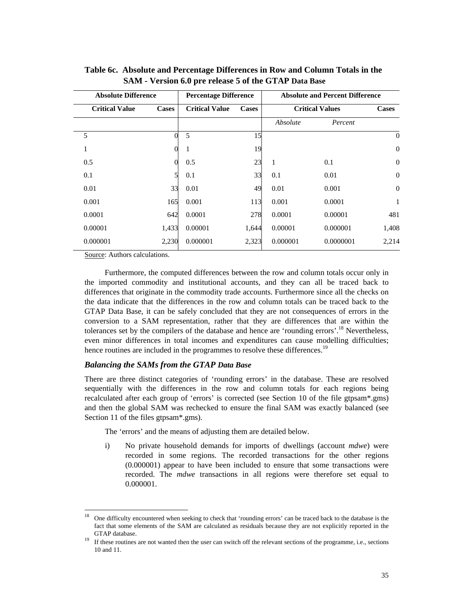| <b>Absolute Difference</b> |              | <b>Percentage Difference</b> |              | <b>Absolute and Percent Difference</b> |           |                  |
|----------------------------|--------------|------------------------------|--------------|----------------------------------------|-----------|------------------|
| <b>Critical Value</b>      | <b>Cases</b> | <b>Critical Value</b>        | <b>Cases</b> | <b>Critical Values</b>                 |           | <b>Cases</b>     |
|                            |              |                              |              | Absolute                               | Percent   |                  |
| 5                          |              | 5                            | 15           |                                        |           | $\boldsymbol{0}$ |
| 1                          | $\Omega$     | 1                            | 19           |                                        |           | $\boldsymbol{0}$ |
| 0.5                        |              | 0.5                          | 23           | 1                                      | 0.1       | $\boldsymbol{0}$ |
| 0.1                        | 5            | 0.1                          | 33           | 0.1                                    | 0.01      | $\overline{0}$   |
| 0.01                       | 33           | 0.01                         | 49           | 0.01                                   | 0.001     | $\mathbf{0}$     |
| 0.001                      | 165          | 0.001                        | 113          | 0.001                                  | 0.0001    | $\mathbf{1}$     |
| 0.0001                     | 642          | 0.0001                       | 278          | 0.0001                                 | 0.00001   | 481              |
| 0.00001                    | 1,433        | 0.00001                      | 1,644        | 0.00001                                | 0.000001  | 1,408            |
| 0.000001                   | 2,230        | 0.000001                     | 2,323        | 0.000001                               | 0.0000001 | 2,214            |

**Table 6c. Absolute and Percentage Differences in Row and Column Totals in the SAM - Version 6.0 pre release 5 of the GTAP Data Base**

Source: Authors calculations.

 $\overline{\phantom{a}}$ 

Furthermore, the computed differences between the row and column totals occur only in the imported commodity and institutional accounts, and they can all be traced back to differences that originate in the commodity trade accounts. Furthermore since all the checks on the data indicate that the differences in the row and column totals can be traced back to the GTAP Data Base, it can be safely concluded that they are not consequences of errors in the conversion to a SAM representation, rather that they are differences that are within the tolerances set by the compilers of the database and hence are 'rounding errors'.<sup>18</sup> Nevertheless, even minor differences in total incomes and expenditures can cause modelling difficulties; hence routines are included in the programmes to resolve these differences.<sup>19</sup>

### *Balancing the SAMs from the GTAP Data Base*

There are three distinct categories of 'rounding errors' in the database. These are resolved sequentially with the differences in the row and column totals for each regions being recalculated after each group of 'errors' is corrected (see Section 10 of the file gtpsam\*.gms) and then the global SAM was rechecked to ensure the final SAM was exactly balanced (see Section 11 of the files gtpsam\*.gms).

The 'errors' and the means of adjusting them are detailed below.

i) No private household demands for imports of dwellings (account *mdwe*) were recorded in some regions. The recorded transactions for the other regions (0.000001) appear to have been included to ensure that some transactions were recorded. The *mdwe* transactions in all regions were therefore set equal to 0.000001.

<sup>18</sup> One difficulty encountered when seeking to check that 'rounding errors' can be traced back to the database is the fact that some elements of the SAM are calculated as residuals because they are not explicitly reported in the GTAP database.<br><sup>19</sup> If these routines are not wanted then the user can switch off the relevant sections of the programme, i.e., sections

<sup>10</sup> and 11.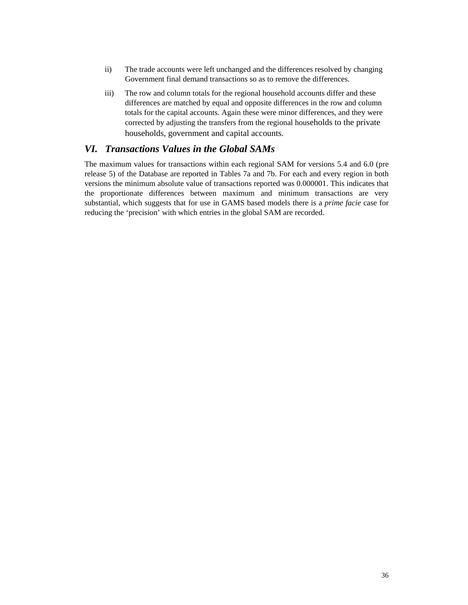- ii) The trade accounts were left unchanged and the differences resolved by changing Government final demand transactions so as to remove the differences.
- iii) The row and column totals for the regional household accounts differ and these differences are matched by equal and opposite differences in the row and column totals for the capital accounts. Again these were minor differences, and they were corrected by adjusting the transfers from the regional households to the private households, government and capital accounts.

# *VI. Transactions Values in the Global SAMs*

The maximum values for transactions within each regional SAM for versions 5.4 and 6.0 (pre release 5) of the Database are reported in Tables 7a and 7b. For each and every region in both versions the minimum absolute value of transactions reported was 0.000001. This indicates that the proportionate differences between maximum and minimum transactions are very substantial, which suggests that for use in GAMS based models there is a *prime facie* case for reducing the 'precision' with which entries in the global SAM are recorded.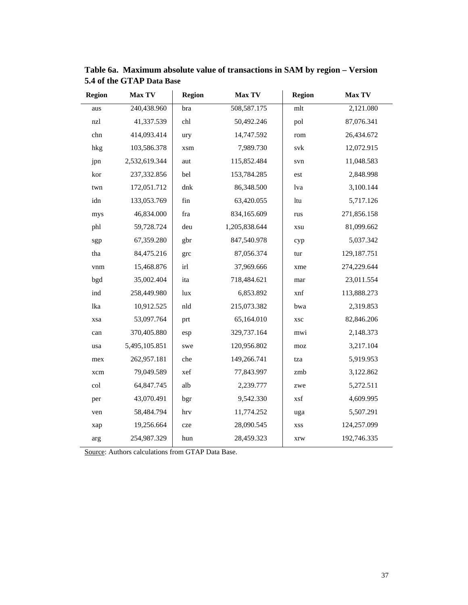| <b>Region</b> | <b>Max TV</b> | <b>Region</b> | <b>Max TV</b> | <b>Region</b> | <b>Max TV</b> |
|---------------|---------------|---------------|---------------|---------------|---------------|
| aus           | 240,438.960   | bra           | 508,587.175   | mlt           | 2,121.080     |
| nzl           | 41,337.539    | chl           | 50,492.246    | pol           | 87,076.341    |
| chn           | 414,093.414   | ury           | 14,747.592    | rom           | 26,434.672    |
| hkg           | 103,586.378   | xsm           | 7,989.730     | svk           | 12,072.915    |
| jpn           | 2,532,619.344 | aut           | 115,852.484   | svn           | 11,048.583    |
| kor           | 237,332.856   | bel           | 153,784.285   | est           | 2,848.998     |
| twn           | 172,051.712   | dnk           | 86,348.500    | lva           | 3,100.144     |
| idn           | 133,053.769   | fin           | 63,420.055    | ltu           | 5,717.126     |
| mys           | 46,834.000    | fra           | 834,165.609   | rus           | 271,856.158   |
| phl           | 59,728.724    | deu           | 1,205,838.644 | xsu           | 81,099.662    |
| sgp           | 67,359.280    | gbr           | 847,540.978   | cyp           | 5,037.342     |
| tha           | 84,475.216    | grc           | 87,056.374    | tur           | 129,187.751   |
| vnm           | 15,468.876    | irl           | 37,969.666    | xme           | 274,229.644   |
| bgd           | 35,002.404    | ita           | 718,484.621   | mar           | 23,011.554    |
| ind           | 258,449.980   | lux           | 6,853.892     | xnf           | 113,888.273   |
| lka           | 10,912.525    | nld           | 215,073.382   | bwa           | 2,319.853     |
| xsa           | 53,097.764    | prt           | 65,164.010    | <b>XSC</b>    | 82,846.206    |
| can           | 370,405.880   | esp           | 329,737.164   | mwi           | 2,148.373     |
| usa           | 5,495,105.851 | swe           | 120,956.802   | moz           | 3,217.104     |
| mex           | 262,957.181   | che           | 149,266.741   | tza           | 5,919.953     |
| xcm           | 79,049.589    | xef           | 77,843.997    | zmb           | 3,122.862     |
| col           | 64,847.745    | alb           | 2,239.777     | zwe           | 5,272.511     |
| per           | 43,070.491    | bgr           | 9,542.330     | xsf           | 4,609.995     |
| ven           | 58,484.794    | hrv           | 11,774.252    | uga           | 5,507.291     |
| xap           | 19,256.664    | cze           | 28,090.545    | <b>XSS</b>    | 124,257.099   |
| arg           | 254,987.329   | hun           | 28,459.323    | xrw           | 192,746.335   |

**Table 6a. Maximum absolute value of transactions in SAM by region – Version 5.4 of the GTAP Data Base**

Source: Authors calculations from GTAP Data Base.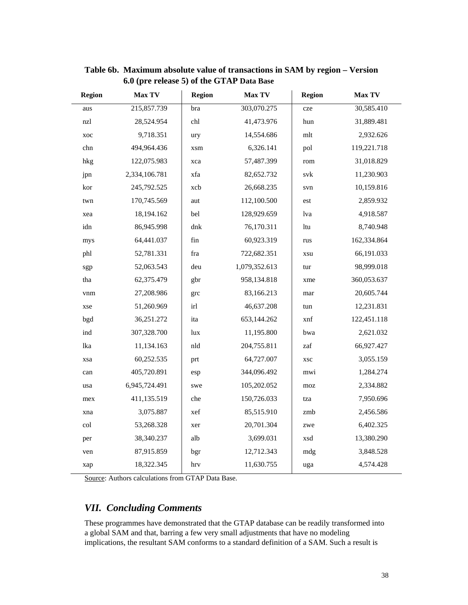| <b>Region</b> | Max TV        | <b>Region</b> | Max TV        | <b>Region</b> | Max TV      |
|---------------|---------------|---------------|---------------|---------------|-------------|
| aus           | 215,857.739   | bra           | 303,070.275   | cze           | 30,585.410  |
| nzl           | 28,524.954    | chl           | 41,473.976    | hun           | 31,889.481  |
| xoc           | 9,718.351     | ury           | 14,554.686    | mlt           | 2,932.626   |
| chn           | 494,964.436   | xsm           | 6,326.141     | pol           | 119,221.718 |
| hkg           | 122,075.983   | xca           | 57,487.399    | rom           | 31,018.829  |
| jpn           | 2,334,106.781 | xfa           | 82,652.732    | svk           | 11,230.903  |
| kor           | 245,792.525   | xcb           | 26,668.235    | svn           | 10,159.816  |
| twn           | 170,745.569   | aut           | 112,100.500   | est           | 2,859.932   |
| xea           | 18,194.162    | bel           | 128,929.659   | lva           | 4,918.587   |
| idn           | 86,945.998    | dnk           | 76,170.311    | ltu           | 8,740.948   |
| mys           | 64,441.037    | fin           | 60,923.319    | rus           | 162,334.864 |
| phl           | 52,781.331    | fra           | 722,682.351   | xsu           | 66,191.033  |
| sgp           | 52,063.543    | deu           | 1,079,352.613 | tur           | 98,999.018  |
| tha           | 62,375.479    | gbr           | 958,134.818   | xme           | 360,053.637 |
| vnm           | 27,208.986    | grc           | 83,166.213    | mar           | 20,605.744  |
| xse           | 51,260.969    | irl           | 46,637.208    | tun           | 12,231.831  |
| bgd           | 36,251.272    | ita           | 653,144.262   | xnf           | 122,451.118 |
| ind           | 307,328.700   | lux           | 11,195.800    | bwa           | 2,621.032   |
| lka           | 11,134.163    | nld           | 204,755.811   | zaf           | 66,927.427  |
| xsa           | 60,252.535    | prt           | 64,727.007    | xsc           | 3,055.159   |
| can           | 405,720.891   | esp           | 344,096.492   | mwi           | 1,284.274   |
| usa           | 6,945,724.491 | swe           | 105,202.052   | moz           | 2,334.882   |
| mex           | 411,135.519   | che           | 150,726.033   | tza           | 7,950.696   |
| xna           | 3,075.887     | xef           | 85,515.910    | zmb           | 2,456.586   |
| col           | 53,268.328    | xer           | 20,701.304    | zwe           | 6,402.325   |
| per           | 38,340.237    | alb           | 3,699.031     | xsd           | 13,380.290  |
| ven           | 87,915.859    | bgr           | 12,712.343    | mdg           | 3,848.528   |
| xap           | 18,322.345    | hrv           | 11,630.755    | uga           | 4,574.428   |

**Table 6b. Maximum absolute value of transactions in SAM by region – Version 6.0 (pre release 5) of the GTAP Data Base**

Source: Authors calculations from GTAP Data Base.

# *VII. Concluding Comments*

These programmes have demonstrated that the GTAP database can be readily transformed into a global SAM and that, barring a few very small adjustments that have no modeling implications, the resultant SAM conforms to a standard definition of a SAM. Such a result is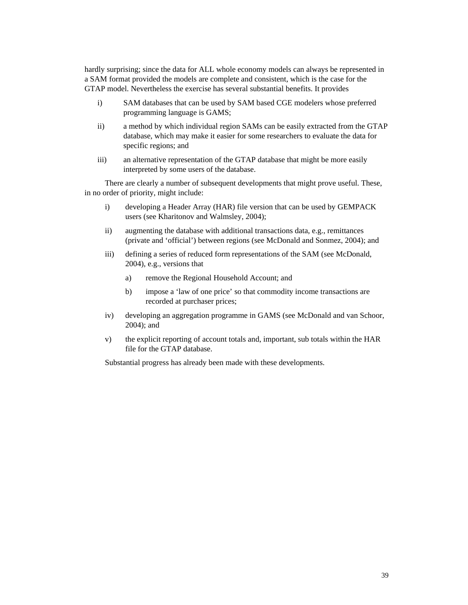hardly surprising; since the data for ALL whole economy models can always be represented in a SAM format provided the models are complete and consistent, which is the case for the GTAP model. Nevertheless the exercise has several substantial benefits. It provides

- i) SAM databases that can be used by SAM based CGE modelers whose preferred programming language is GAMS;
- ii) a method by which individual region SAMs can be easily extracted from the GTAP database, which may make it easier for some researchers to evaluate the data for specific regions; and
- iii) an alternative representation of the GTAP database that might be more easily interpreted by some users of the database.

There are clearly a number of subsequent developments that might prove useful. These, in no order of priority, might include:

- i) developing a Header Array (HAR) file version that can be used by GEMPACK users (see Kharitonov and Walmsley, 2004);
- ii) augmenting the database with additional transactions data, e.g., remittances (private and 'official') between regions (see McDonald and Sonmez, 2004); and
- iii) defining a series of reduced form representations of the SAM (see McDonald, 2004), e.g., versions that
	- a) remove the Regional Household Account; and
	- b) impose a 'law of one price' so that commodity income transactions are recorded at purchaser prices;
- iv) developing an aggregation programme in GAMS (see McDonald and van Schoor, 2004); and
- v) the explicit reporting of account totals and, important, sub totals within the HAR file for the GTAP database.

Substantial progress has already been made with these developments.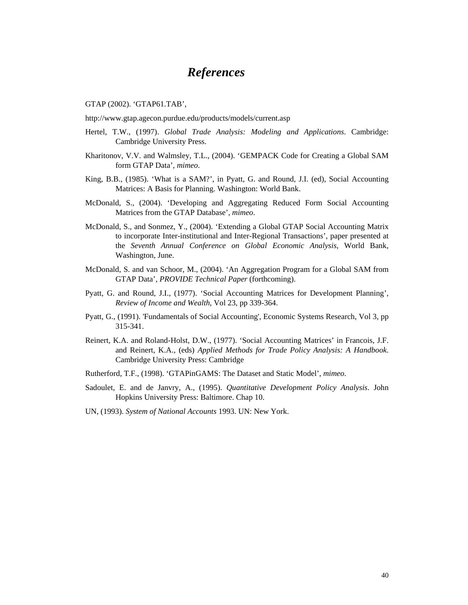# *References*

GTAP (2002). 'GTAP61.TAB',

http://www.gtap.agecon.purdue.edu/products/models/current.asp

- Hertel, T.W., (1997). *Global Trade Analysis: Modeling and Applications*. Cambridge: Cambridge University Press.
- Kharitonov, V.V. and Walmsley, T.L., (2004). 'GEMPACK Code for Creating a Global SAM form GTAP Data', *mimeo*.
- King, B.B., (1985). 'What is a SAM?', in Pyatt, G. and Round, J.I. (ed), Social Accounting Matrices: A Basis for Planning. Washington: World Bank.
- McDonald, S., (2004). 'Developing and Aggregating Reduced Form Social Accounting Matrices from the GTAP Database', *mimeo*.
- McDonald, S., and Sonmez, Y., (2004). 'Extending a Global GTAP Social Accounting Matrix to incorporate Inter-institutional and Inter-Regional Transactions', paper presented at the *Seventh Annual Conference on Global Economic Analysis*, World Bank, Washington, June.
- McDonald, S. and van Schoor, M., (2004). 'An Aggregation Program for a Global SAM from GTAP Data', *PROVIDE Technical Paper* (forthcoming).
- Pyatt, G. and Round, J.I., (1977). 'Social Accounting Matrices for Development Planning', *Review of Income and Wealth*, Vol 23, pp 339-364.
- Pyatt, G., (1991). 'Fundamentals of Social Accounting', Economic Systems Research, Vol 3, pp 315-341.
- Reinert, K.A. and Roland-Holst, D.W., (1977). 'Social Accounting Matrices' in Francois, J.F. and Reinert, K.A., (eds) *Applied Methods for Trade Policy Analysis: A Handbook*. Cambridge University Press: Cambridge
- Rutherford, T.F., (1998). 'GTAPinGAMS: The Dataset and Static Model', *mimeo*.
- Sadoulet, E. and de Janvry, A., (1995). *Quantitative Development Policy Analysis*. John Hopkins University Press: Baltimore. Chap 10.
- UN, (1993). *System of National Accounts* 1993. UN: New York.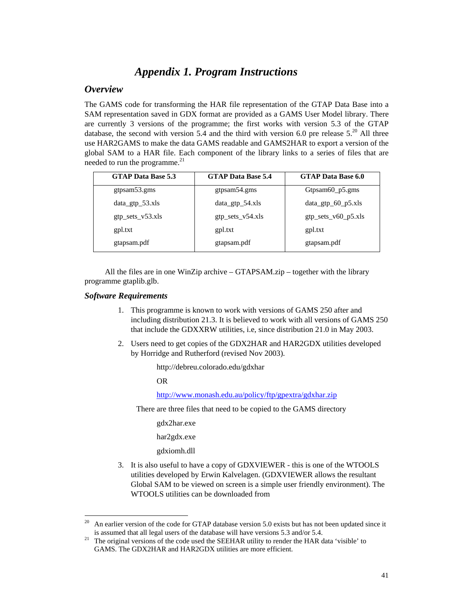# *Appendix 1. Program Instructions*

# *Overview*

The GAMS code for transforming the HAR file representation of the GTAP Data Base into a SAM representation saved in GDX format are provided as a GAMS User Model library. There are currently 3 versions of the programme; the first works with version 5.3 of the GTAP database, the second with version 5.4 and the third with version 6.0 pre release  $5<sup>20</sup>$  All three use HAR2GAMS to make the data GAMS readable and GAMS2HAR to export a version of the global SAM to a HAR file. Each component of the library links to a series of files that are needed to run the programme. $^{21}$ 

| <b>GTAP Data Base 5.3</b> | <b>GTAP Data Base 5.4</b> | <b>GTAP Data Base 6.0</b> |
|---------------------------|---------------------------|---------------------------|
| gtpsam53.gms              | gtpsam54.gms              | Gtpsam60 p5.gms           |
| $data_gtp_53.xls$         | $data\_gtp\_54.xls$       | $data_gtp_60_p5.xls$      |
| $gtp\_sets_v53.xls$       | gtp_sets_v54.xls          | $gtp\_sets_v60_p5.xls$    |
| gpl.txt                   | gpl.txt                   | gpl.txt                   |
| gtapsam.pdf               | gtapsam.pdf               | gtapsam.pdf               |

All the files are in one WinZip archive – GTAPSAM.zip – together with the library programme gtaplib.glb.

## *Software Requirements*

- 1. This programme is known to work with versions of GAMS 250 after and including distribution 21.3. It is believed to work with all versions of GAMS 250 that include the GDXXRW utilities, i.e, since distribution 21.0 in May 2003.
- 2. Users need to get copies of the GDX2HAR and HAR2GDX utilities developed by Horridge and Rutherford (revised Nov 2003).

http://debreu.colorado.edu/gdxhar

OR

## http://www.monash.edu.au/policy/ftp/gpextra/gdxhar.zip

There are three files that need to be copied to the GAMS directory

gdx2har.exe

har2gdx.exe

- gdxiomh.dll
- 3. It is also useful to have a copy of GDXVIEWER this is one of the WTOOLS utilities developed by Erwin Kalvelagen. (GDXVIEWER allows the resultant Global SAM to be viewed on screen is a simple user friendly environment). The WTOOLS utilities can be downloaded from

 $20$ 20 An earlier version of the code for GTAP database version 5.0 exists but has not been updated since it is assumed that all legal users of the database will have versions 5.3 and/or 5.4.<br><sup>21</sup> The original versions of the code used the SEEHAR utility to render the HAR data 'visible' to

GAMS. The GDX2HAR and HAR2GDX utilities are more efficient.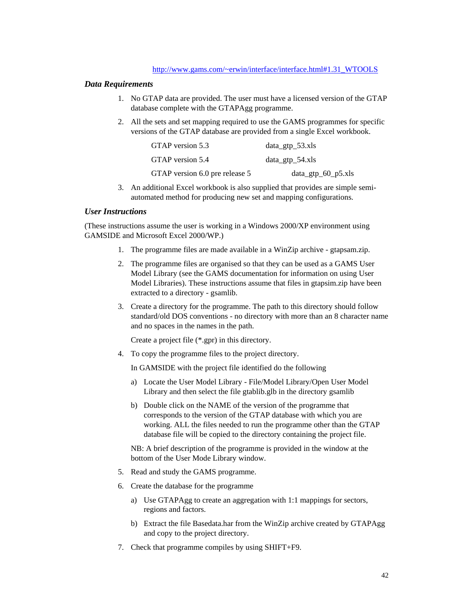### *Data Requirements*

- 1. No GTAP data are provided. The user must have a licensed version of the GTAP database complete with the GTAPAgg programme.
- 2. All the sets and set mapping required to use the GAMS programmes for specific versions of the GTAP database are provided from a single Excel workbook.

| GTAP version 5.3               | $data_{gtp}$ _53.xls  |
|--------------------------------|-----------------------|
| GTAP version 5.4               | $data_{gtp}$ = 54.xls |
| GTAP version 6.0 pre release 5 | $data_gtp_60_p5.xls$  |

3. An additional Excel workbook is also supplied that provides are simple semiautomated method for producing new set and mapping configurations.

## *User Instructions*

(These instructions assume the user is working in a Windows 2000/XP environment using GAMSIDE and Microsoft Excel 2000/WP.)

- 1. The programme files are made available in a WinZip archive gtapsam.zip.
- 2. The programme files are organised so that they can be used as a GAMS User Model Library (see the GAMS documentation for information on using User Model Libraries). These instructions assume that files in gtapsim.zip have been extracted to a directory - gsamlib.
- 3. Create a directory for the programme. The path to this directory should follow standard/old DOS conventions - no directory with more than an 8 character name and no spaces in the names in the path.

Create a project file (\*.gpr) in this directory.

4. To copy the programme files to the project directory.

In GAMSIDE with the project file identified do the following

- a) Locate the User Model Library File/Model Library/Open User Model Library and then select the file gtablib.glb in the directory gsamlib
- b) Double click on the NAME of the version of the programme that corresponds to the version of the GTAP database with which you are working. ALL the files needed to run the programme other than the GTAP database file will be copied to the directory containing the project file.

NB: A brief description of the programme is provided in the window at the bottom of the User Mode Library window.

- 5. Read and study the GAMS programme.
- 6. Create the database for the programme
	- a) Use GTAPAgg to create an aggregation with 1:1 mappings for sectors, regions and factors.
	- b) Extract the file Basedata.har from the WinZip archive created by GTAPAgg and copy to the project directory.
- 7. Check that programme compiles by using SHIFT+F9.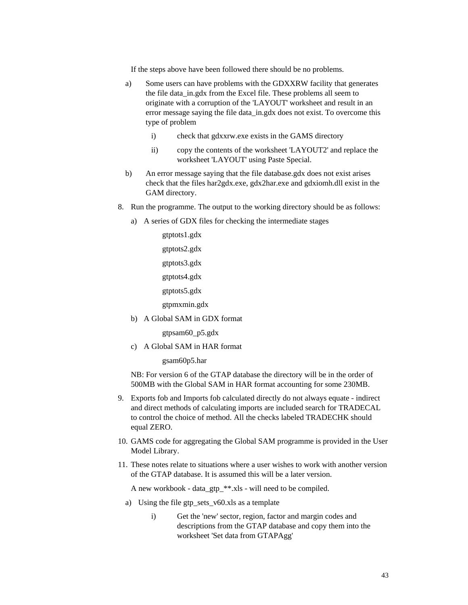If the steps above have been followed there should be no problems.

- a) Some users can have problems with the GDXXRW facility that generates the file data\_in.gdx from the Excel file. These problems all seem to originate with a corruption of the 'LAYOUT' worksheet and result in an error message saying the file data\_in.gdx does not exist. To overcome this type of problem
	- i) check that gdxxrw.exe exists in the GAMS directory
	- ii) copy the contents of the worksheet 'LAYOUT2' and replace the worksheet 'LAYOUT' using Paste Special.
- b) An error message saying that the file database.gdx does not exist arises check that the files har2gdx.exe, gdx2har.exe and gdxiomh.dll exist in the GAM directory.
- 8. Run the programme. The output to the working directory should be as follows:
	- a) A series of GDX files for checking the intermediate stages

gtptots1.gdx gtptots2.gdx gtptots3.gdx gtptots4.gdx gtptots5.gdx

gtpmxmin.gdx

b) A Global SAM in GDX format

gtpsam60\_p5.gdx

c) A Global SAM in HAR format

gsam60p5.har

NB: For version 6 of the GTAP database the directory will be in the order of 500MB with the Global SAM in HAR format accounting for some 230MB.

- 9. Exports fob and Imports fob calculated directly do not always equate indirect and direct methods of calculating imports are included search for TRADECAL to control the choice of method. All the checks labeled TRADECHK should equal ZERO.
- 10. GAMS code for aggregating the Global SAM programme is provided in the User Model Library.
- 11. These notes relate to situations where a user wishes to work with another version of the GTAP database. It is assumed this will be a later version.

A new workbook - data\_gtp\_\*\*.xls - will need to be compiled.

- a) Using the file gtp\_sets\_v60.xls as a template
	- i) Get the 'new' sector, region, factor and margin codes and descriptions from the GTAP database and copy them into the worksheet 'Set data from GTAPAgg'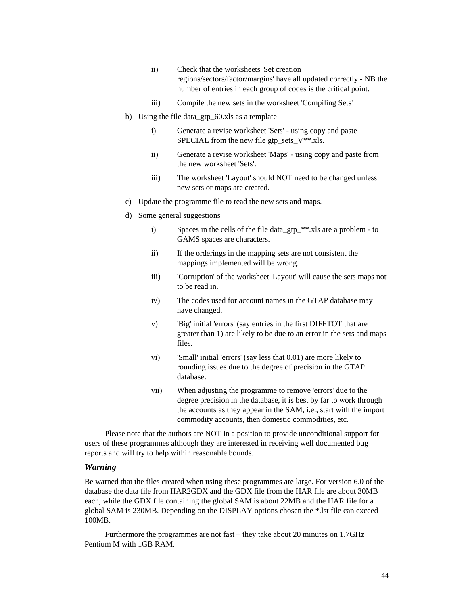- ii) Check that the worksheets 'Set creation regions/sectors/factor/margins' have all updated correctly - NB the number of entries in each group of codes is the critical point.
- iii) Compile the new sets in the worksheet 'Compiling Sets'
- b) Using the file data gtp 60.xls as a template
	- i) Generate a revise worksheet 'Sets' using copy and paste SPECIAL from the new file gtp\_sets\_V $**$ .xls.
	- ii) Generate a revise worksheet 'Maps' using copy and paste from the new worksheet 'Sets'.
	- iii) The worksheet 'Layout' should NOT need to be changed unless new sets or maps are created.
- c) Update the programme file to read the new sets and maps.
- d) Some general suggestions
	- i) Spaces in the cells of the file data\_gtp\_\*\*.xls are a problem to GAMS spaces are characters.
	- ii) If the orderings in the mapping sets are not consistent the mappings implemented will be wrong.
	- iii) 'Corruption' of the worksheet 'Layout' will cause the sets maps not to be read in.
	- iv) The codes used for account names in the GTAP database may have changed.
	- v) 'Big' initial 'errors' (say entries in the first DIFFTOT that are greater than 1) are likely to be due to an error in the sets and maps files.
	- vi) 'Small' initial 'errors' (say less that 0.01) are more likely to rounding issues due to the degree of precision in the GTAP database.
	- vii) When adjusting the programme to remove 'errors' due to the degree precision in the database, it is best by far to work through the accounts as they appear in the SAM, i.e., start with the import commodity accounts, then domestic commodities, etc.

Please note that the authors are NOT in a position to provide unconditional support for users of these programmes although they are interested in receiving well documented bug reports and will try to help within reasonable bounds.

#### *Warning*

Be warned that the files created when using these programmes are large. For version 6.0 of the database the data file from HAR2GDX and the GDX file from the HAR file are about 30MB each, while the GDX file containing the global SAM is about 22MB and the HAR file for a global SAM is 230MB. Depending on the DISPLAY options chosen the \*.lst file can exceed 100MB.

Furthermore the programmes are not fast – they take about 20 minutes on 1.7GHz Pentium M with 1GB RAM.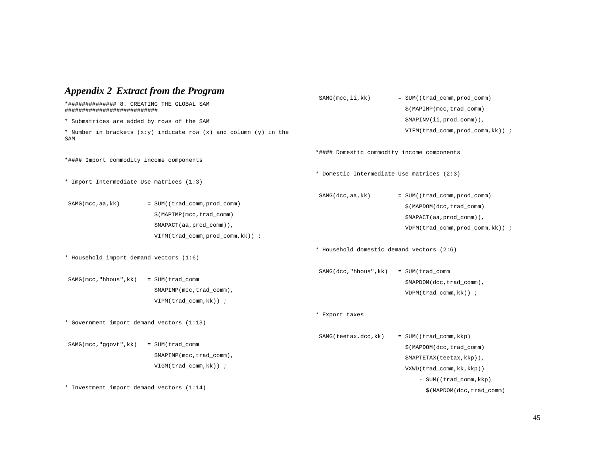|                                                                                | <b>Appendix 2 Extract from the Program</b>                                                                                  |                                            |                                                                                                                             |  |
|--------------------------------------------------------------------------------|-----------------------------------------------------------------------------------------------------------------------------|--------------------------------------------|-----------------------------------------------------------------------------------------------------------------------------|--|
| *############## 8. CREATING THE GLOBAL SAM<br>###########################      |                                                                                                                             | SAMG(mcc, ii, kk)                          | = SUM((trad_comm, prod_comm)<br>\$(MAPIMP(mcc, trad_comm)                                                                   |  |
| * Submatrices are added by rows of the SAM                                     |                                                                                                                             |                                            | \$MAPINV(ii, prod_comm)),                                                                                                   |  |
| * Number in brackets $(x:y)$ indicate row $(x)$ and column $(y)$ in the<br>SAM |                                                                                                                             |                                            | $VIFM(trad_{comm}, prod_{comm}, k)$ );                                                                                      |  |
| *#### Import commodity income components                                       |                                                                                                                             | *#### Domestic commodity income components |                                                                                                                             |  |
| * Import Intermediate Use matrices (1:3)                                       |                                                                                                                             | * Domestic Intermediate Use matrices (2:3) |                                                                                                                             |  |
| $SAMG$ (mcc, aa, kk)                                                           | = SUM((trad_comm, prod_comm)<br>\$(MAPIMP(mcc, trad_comm)<br>\$MAPACT(aa, prod_comm)),<br>VIFM(trad_comm, prod_comm, kk)) ; | SAMG(dcc,aa, kk)                           | = SUM((trad_comm, prod_comm)<br>\$(MAPDOM(dcc, trad_comm)<br>\$MAPACT(aa, prod_comm)),<br>VDFM(trad_comm, prod_comm, kk)) ; |  |
| * Household import demand vectors (1:6)                                        |                                                                                                                             | * Household domestic demand vectors (2:6)  |                                                                                                                             |  |
| SAMG(mcc, "hhous", kk)                                                         | = SUM(trad_comm<br>\$MAPIMP(mcc,trad_comm),<br>$VIPM(trad_{comm}, kk)$ ;                                                    | SAMG(dcc, "hhous", kk)                     | = SUM(trad_comm<br>\$MAPDOM(dcc,trad_comm),<br>$VDPM(trad_{comm}, kk)$ ;                                                    |  |
| * Government import demand vectors (1:13)                                      |                                                                                                                             | * Export taxes                             |                                                                                                                             |  |
| SAMG(mcc, "ggovt", kk)                                                         | = SUM(trad_comm<br>\$MAPIMP(mcc, trad_comm),<br>$VIGM(trad_{\text{comm}}, kk)$ ;                                            | SAMG(teetax, dcc, kk)                      | = SUM((trad_comm, kkp)<br>\$(MAPDOM(dcc,trad_comm)<br>\$MAPTETAX(teetax, kkp)),<br>$VXWD(trad_{\text{comm}}, kk, kkp))$     |  |
| * Investment import demand vectors (1:14)                                      |                                                                                                                             |                                            | - SUM((trad_comm, kkp)<br>\$(MAPDOM(dcc,trad_comm)                                                                          |  |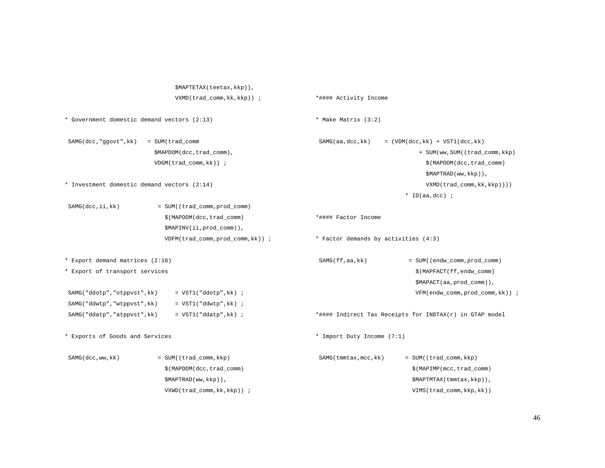| \$MAPTETAX(teetax, kkp)),                                           |                                                         |
|---------------------------------------------------------------------|---------------------------------------------------------|
| $VXMD(trad_{comm}, kk, kkp)$ );                                     | *#### Activity Income                                   |
| * Government domestic demand vectors (2:13)                         | * Make Matrix (3:2)                                     |
| SAMG(dcc, "ggovt", kk)<br>= SUM(trad_comm                           | SAMG(aa, dcc, kk)<br>$=$ (VDM(dcc, kk) + VST1(dcc, kk)  |
| \$MAPDOM(dcc,trad_comm),                                            | + SUM(ww, SUM((trad_comm, kkp)                          |
| VDGM(trad_comm, kk)) ;                                              | \$(MAPDOM(dcc,trad_comm)                                |
|                                                                     | $$MAPTRAD(ww, kkp)$ ,                                   |
| * Investment domestic demand vectors (2:14)                         | VXMD(trad_comm, kk, kkp))))                             |
|                                                                     | * ID(aa,dcc) ;                                          |
| SAMG(dcc, ii, kk)<br>= SUM((trad_comm, prod_comm)                   |                                                         |
| \$(MAPDOM(dcc, trad_comm)                                           | *#### Factor Income                                     |
| \$MAPINV(ii, prod_comm)),                                           |                                                         |
| $VDFM(trad_{\text{comm}}, \text{prod}_{\text{comm}}, \text{kk})$ ); | * Factor demands by activities (4:3)                    |
| * Export demand matrices (2:16)                                     | SAMG(ff,aa,kk)<br>= SUM((endw_comm, prod_comm)          |
| * Export of transport services                                      | \$(MAPFACT(ff,endw_comm)                                |
|                                                                     | \$MAPACT(aa, prod_comm)),                               |
| SAMG("ddotp","otppvst", kk)<br>$= VST1('ddotp',kk)$ ;               | VFM(endw_comm, prod_comm, kk)) ;                        |
| SAMG("ddwtp","wtppvst", kk)<br>$= VST1('ddwtp', kk)$ ;              |                                                         |
| SAMG("ddatp","atppvst", kk)<br>$= VST1('ddatp',kk)$ ;               | *#### Indirect Tax Receipts for INDTAX(r) in GTAP model |
| * Exports of Goods and Services                                     | * Import Duty Income (7:1)                              |
| SAMG(dcc, ww, kk)<br>= SUM((trad_comm, kkp)                         | SAMG (tmmtax, mcc, kk)<br>= SUM((trad_comm, kkp)        |
| \$(MAPDOM(dcc, trad_comm)                                           | \$(MAPIMP(mcc, trad_comm)                               |
| $$MAPTRAD(ww, kkp)$ ,                                               | \$MAPTMTAX(tmmtax, kkp)),                               |
| $VXWD(trad_{\text{comm}}, \text{kk}, \text{kkp}))$ ;                | VIMS(trad_comm, kkp, kk))                               |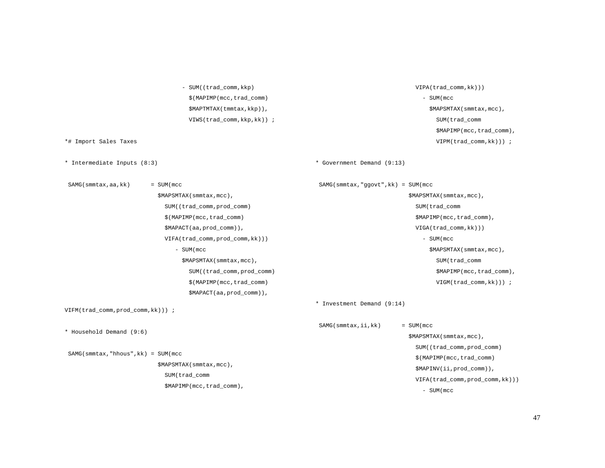\$(MAPIMP(mcc,trad\_comm) \$MAPTMTAX(tmmtax,kkp)), VIWS(trad\_comm,kkp,kk)) ; \*# Import Sales Taxes \* Intermediate Inputs (8:3) SAMG(smmtax,aa,kk) = SUM(mcc \$MAPSMTAX(smmtax,mcc), SUM((trad\_comm,prod\_comm) \$(MAPIMP(mcc,trad\_comm) \$MAPACT(aa,prod\_comm)), VIFA(trad\_comm,prod\_comm,kk))) - SUM(mcc \$MAPSMTAX(smmtax,mcc), SUM((trad\_comm,prod\_comm) \$(MAPIMP(mcc,trad\_comm) \$MAPACT(aa,prod\_comm)), VIFM(trad\_comm,prod\_comm,kk))) ; \* Household Demand (9:6) SAMG(smmtax,"hhous",kk) = SUM(mcc \$MAPSMTAX(smmtax,mcc), SUM(trad\_comm \$MAPIMP(mcc,trad\_comm), - SUM(mcc \$MAPSMTAX(smmtax,mcc), SUM(trad\_comm \$MAPIMP(mcc,trad\_comm), VIPM(trad\_comm,kk))) ; \* Government Demand (9:13) SAMG(smmtax,"ggovt",kk) = SUM(mcc \$MAPSMTAX(smmtax,mcc), SUM(trad\_comm \$MAPIMP(mcc,trad\_comm), VIGA(trad\_comm,kk))) - SUM(mcc \$MAPSMTAX(smmtax,mcc), SUM(trad\_comm \$MAPIMP(mcc,trad\_comm), VIGM(trad\_comm,kk))) ; \* Investment Demand (9:14)  $SAMG(Smmtax,ii,kk)$  = SUM(mcc \$MAPSMTAX(smmtax,mcc), SUM((trad\_comm,prod\_comm) \$(MAPIMP(mcc,trad\_comm) \$MAPINV(ii,prod\_comm)), VIFA(trad\_comm,prod\_comm,kk))) - SUM(mcc

- SUM((trad\_comm, kkp)

VIPA(trad\_comm,kk)))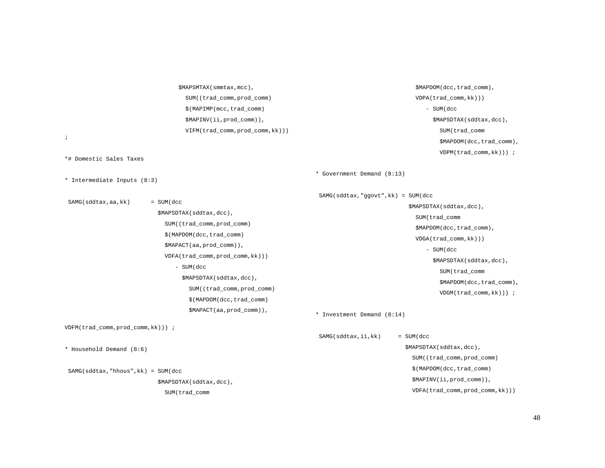\$MAPSMTAX(smmtax,mcc), SUM((trad\_comm,prod\_comm) \$(MAPIMP(mcc,trad\_comm) \$MAPINV(ii,prod\_comm)), VIFM(trad\_comm,prod\_comm,kk)))  $\ddot{i}$ \*# Domestic Sales Taxes \* Intermediate Inputs (8:3) SAMG(sddtax,aa,kk) = SUM(dcc \$MAPSDTAX(sddtax,dcc), SUM((trad\_comm,prod\_comm) \$(MAPDOM(dcc,trad\_comm) \$MAPACT(aa,prod\_comm)), VDFA(trad\_comm,prod\_comm,kk))) - SUM(dcc \$MAPSDTAX(sddtax,dcc), SUM((trad\_comm,prod\_comm) \$(MAPDOM(dcc,trad\_comm) \$MAPACT(aa,prod\_comm)), VDFM(trad\_comm,prod\_comm,kk))) ; \* Household Demand (8:6) SAMG(sddtax,"hhous",kk) = SUM(dcc \$MAPSDTAX(sddtax,dcc), SUM(trad\_comm \$MAPDOM(dcc,trad\_comm), VDPA(trad\_comm,kk))) - SUM(dcc \$MAPSDTAX(sddtax,dcc), SUM(trad\_comm \$MAPDOM(dcc,trad\_comm), VDPM(trad\_comm,kk))) ; \* Government Demand (8:13) SAMG(sddtax,"ggovt",kk) = SUM(dcc \$MAPSDTAX(sddtax,dcc), SUM(trad\_comm \$MAPDOM(dcc,trad\_comm), VDGA(trad\_comm,kk))) - SUM(dcc \$MAPSDTAX(sddtax,dcc), SUM(trad\_comm \$MAPDOM(dcc,trad\_comm), VDGM(trad\_comm,kk))) ; \* Investment Demand (8:14) SAMG(sddtax,ii,kk) = SUM(dcc \$MAPSDTAX(sddtax,dcc), SUM((trad\_comm,prod\_comm) \$(MAPDOM(dcc,trad\_comm) \$MAPINV(ii,prod\_comm)), VDFA(trad\_comm,prod\_comm,kk)))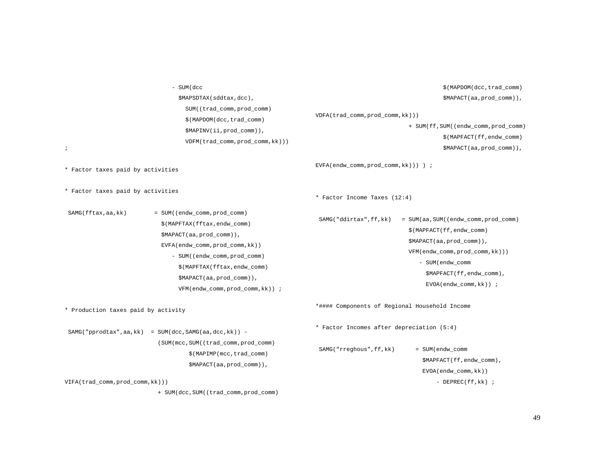- SUM(dcc \$MAPSDTAX(sddtax,dcc), SUM((trad\_comm,prod\_comm) \$(MAPDOM(dcc,trad\_comm) \$MAPINV(ii,prod\_comm)), VDFM(trad\_comm,prod\_comm,kk))) ; \* Factor taxes paid by activities \* Factor taxes paid by activities SAMG(fftax,aa,kk) = SUM((endw\_comm,prod\_comm) \$(MAPFTAX(fftax,endw\_comm) \$MAPACT(aa,prod\_comm)), EVFA(endw\_comm,prod\_comm,kk)) - SUM((endw\_comm,prod\_comm) \$(MAPFTAX(fftax,endw\_comm) \$MAPACT(aa,prod\_comm)), VFM(endw\_comm,prod\_comm,kk)) ; \* Production taxes paid by activity SAMG("pprodtax",aa,kk) = SUM(dcc,SAMG(aa,dcc,kk)) - (SUM(mcc,SUM((trad\_comm,prod\_comm)  $$$ (MAPIMP(mcc,trad comm) \$MAPACT(aa,prod\_comm)), VIFA(trad\_comm,prod\_comm,kk))) + SUM(dcc,SUM((trad\_comm,prod\_comm) \$(MAPDOM(dcc,trad\_comm) \$MAPACT(aa,prod\_comm)), VDFA(trad\_comm,prod\_comm,kk))) + SUM(ff,SUM((endw\_comm,prod\_comm) \$(MAPFACT(ff,endw\_comm) \$MAPACT(aa,prod\_comm)), EVFA(endw\_comm,prod\_comm,kk))) ) ; \* Factor Income Taxes (12:4) SAMG("ddirtax",ff,kk) = SUM(aa,SUM((endw\_comm,prod\_comm) \$(MAPFACT(ff,endw\_comm) \$MAPACT(aa,prod\_comm)), VFM(endw\_comm,prod\_comm,kk))) - SUM(endw\_comm \$MAPFACT(ff,endw\_comm), EVOA(endw\_comm,kk)) ; \*#### Components of Regional Household Income \* Factor Incomes after depreciation (5:4) SAMG("rreghous",ff,kk) = SUM(endw\_comm \$MAPFACT(ff,endw\_comm), EVOA(endw\_comm,kk)) - DEPREC(ff,kk) ;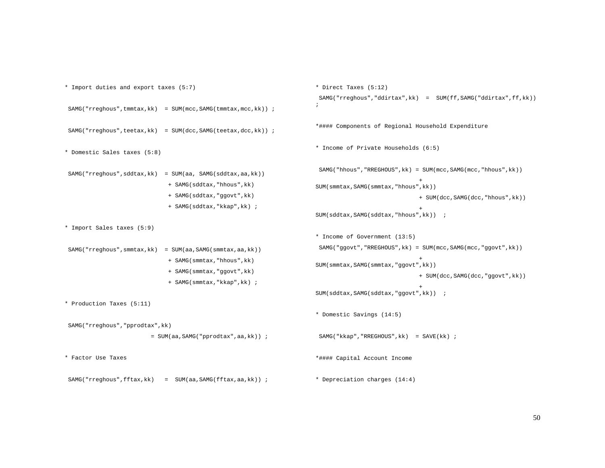```
* Import duties and export taxes (5:7) 
SAMG("rreghous",tmmtax,kk) = SUM(mcc,SAMG(tmmtax,mcc,kk)) ;
SAMG("rreghous",teetax,kk) = SUM(dcc, SAMG(teetax,dcc,kk)) ;
* Domestic Sales taxes (5:8) 
SAMG("rreghous", sddtax, kk) = SUM(aa, SAMG(sddtax, aa, kk))
                             + SAMG(sddtax,"hhous",kk) 
                             + SAMG(sddtax,"ggovt",kk) 
                             + SAMG(sddtax,"kkap",kk) ; 
* Import Sales taxes (5:9) 
SAMG("rreghous", smmtax, kk) = SUM(aa, SAMG(smmtax, aa, kk))
                             + SAMG(smmtax,"hhous",kk) 
                             + SAMG(smmtax,"ggovt",kk) 
                             + SAMG(smmtax,"kkap",kk) ; 
* Production Taxes (5:11) 
 SAMG("rreghous","pprodtax",kk) 
                        = SUM(aa,SAMG("pprodtax",aa,kk)) ; 
* Factor Use Taxes SAMG("rreghous",fftax,kk) = SUM(aa,SAMG(fftax,aa,kk)) ;
                                                                     * Direct Taxes (5:12) 
                                                                       SAMG("rreghous","ddirtax",kk) = SUM(ff,SAMG("ddirtax",ff,kk)) 
                                                                     ; *#### Components of Regional Household Expenditure 
                                                                     * Income of Private Households (6:5) 
                                                                       SAMG("hhous","RREGHOUS",kk) = SUM(mcc,SAMG(mcc,"hhous",kk)) 
                                                                       + 
SUM(smmtax,SAMG(smmtax,"hhous",kk)) 
                                                                                                   + SUM(dcc,SAMG(dcc,"hhous",kk)) 
                                                                       + SUM(sddtax,SAMG(sddtax,"hhous",kk)) ;
                                                                     * Income of Government (13:5) 
                                                                       SAMG("ggovt","RREGHOUS",kk) = SUM(mcc,SAMG(mcc,"ggovt",kk)) 
                                                                       + SUM(smmtax,SAMG(smmtax,"ggovt",kk)) 
                                                                                                   + SUM(dcc,SAMG(dcc,"ggovt",kk)) 
                                                                       + SUM(sddtax,SAMG(sddtax,"ggovt",kk)) ;
                                                                     * Domestic Savings (14:5) 
                                                                       SAMG("kkap","RREGHOUS",kk) = SAVE(kk) ; 
                                                                     *#### Capital Account Income 
                                                                     * Depreciation charges (14:4)
```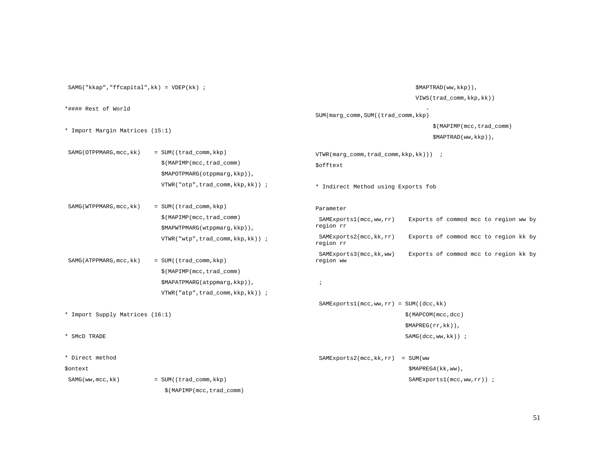SAMG("kkap","ffcapital",kk) = VDEP(kk) ; \*#### Rest of World \* Import Margin Matrices (15:1) SAMG(OTPPMARG, mcc, kk) = SUM((trad\_comm, kkp) \$(MAPIMP(mcc,trad\_comm) \$MAPOTPMARG(otppmarg,kkp)), VTWR("otp",trad\_comm,kkp,kk)) ; SAMG(WTPPMARG, mcc, kk) = SUM((trad\_comm, kkp) \$(MAPIMP(mcc,trad\_comm) \$MAPWTPMARG(wtppmarg,kkp)), VTWR("wtp",trad\_comm,kkp,kk)) ; SAMG(ATPPMARG, mcc, kk) = SUM((trad\_comm, kkp) \$(MAPIMP(mcc,trad\_comm) \$MAPATPMARG(atppmarg,kkp)), VTWR("atp",trad\_comm,kkp,kk)) ; \* Import Supply Matrices (16:1) \* SMcD TRADE \* Direct method \$ontext SAMG(ww, mcc, kk) = SUM((trad\_comm, kkp) \$(MAPIMP(mcc,trad\_comm) \$MAPTRAD(ww,kkp)), VIWS(trad\_comm,kkp,kk)) SUM(marg\_comm,SUM((trad\_comm,kkp) \$(MAPIMP(mcc,trad\_comm) \$MAPTRAD(ww,kkp)), VTWR(marg\_comm,trad\_comm,kkp,kk))) ; \$offtext \* Indirect Method using Exports fob Parameter SAMExports1(mcc,ww,rr) Exports of commod mcc to region ww by region rr SAMExports2(mcc,kk,rr) Exports of commod mcc to region kk by region rr SAMExports3(mcc,kk,ww) Exports of commod mcc to region kk by region ww ; SAMExports1(mcc,ww,rr) = SUM((dcc,kk) \$(MAPCOM(mcc,dcc) \$MAPREG(rr,kk)), SAMG(dcc,ww,kk)) ; SAMExports2(mcc,kk,rr) = SUM(ww \$MAPREG4(kk,ww), SAMExports1(mcc,ww,rr)) ;